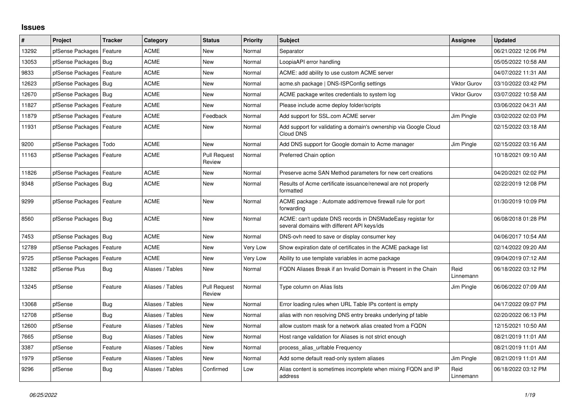## **Issues**

| #     | Project                    | <b>Tracker</b> | Category         | <b>Status</b>                 | <b>Priority</b> | <b>Subject</b>                                                                                            | <b>Assignee</b>     | <b>Updated</b>      |
|-------|----------------------------|----------------|------------------|-------------------------------|-----------------|-----------------------------------------------------------------------------------------------------------|---------------------|---------------------|
| 13292 | pfSense Packages           | Feature        | <b>ACME</b>      | <b>New</b>                    | Normal          | Separator                                                                                                 |                     | 06/21/2022 12:06 PM |
| 13053 | pfSense Packages   Bug     |                | <b>ACME</b>      | <b>New</b>                    | Normal          | LoopiaAPI error handling                                                                                  |                     | 05/05/2022 10:58 AM |
| 9833  | pfSense Packages           | Feature        | ACME             | New                           | Normal          | ACME: add ability to use custom ACME server                                                               |                     | 04/07/2022 11:31 AM |
| 12623 | pfSense Packages           | Bug            | <b>ACME</b>      | <b>New</b>                    | Normal          | acme.sh package   DNS-ISPConfig settings                                                                  | <b>Viktor Gurov</b> | 03/10/2022 03:42 PM |
| 12670 | pfSense Packages   Bug     |                | <b>ACME</b>      | <b>New</b>                    | Normal          | ACME package writes credentials to system log                                                             | <b>Viktor Gurov</b> | 03/07/2022 10:58 AM |
| 11827 | pfSense Packages           | Feature        | ACME             | <b>New</b>                    | Normal          | Please include acme deploy folder/scripts                                                                 |                     | 03/06/2022 04:31 AM |
| 11879 | pfSense Packages           | Feature        | <b>ACME</b>      | Feedback                      | Normal          | Add support for SSL.com ACME server                                                                       | Jim Pingle          | 03/02/2022 02:03 PM |
| 11931 | pfSense Packages   Feature |                | <b>ACME</b>      | <b>New</b>                    | Normal          | Add support for validating a domain's ownership via Google Cloud<br>Cloud DNS                             |                     | 02/15/2022 03:18 AM |
| 9200  | pfSense Packages           | l Todo         | <b>ACME</b>      | <b>New</b>                    | Normal          | Add DNS support for Google domain to Acme manager                                                         | Jim Pingle          | 02/15/2022 03:16 AM |
| 11163 | pfSense Packages   Feature |                | ACME             | <b>Pull Request</b><br>Review | Normal          | Preferred Chain option                                                                                    |                     | 10/18/2021 09:10 AM |
| 11826 | pfSense Packages   Feature |                | <b>ACME</b>      | <b>New</b>                    | Normal          | Preserve acme SAN Method parameters for new cert creations                                                |                     | 04/20/2021 02:02 PM |
| 9348  | pfSense Packages   Bug     |                | ACME             | <b>New</b>                    | Normal          | Results of Acme certificate issuance/renewal are not properly<br>formatted                                |                     | 02/22/2019 12:08 PM |
| 9299  | pfSense Packages   Feature |                | ACME             | <b>New</b>                    | Normal          | ACME package: Automate add/remove firewall rule for port<br>forwarding                                    |                     | 01/30/2019 10:09 PM |
| 8560  | pfSense Packages   Bug     |                | <b>ACME</b>      | <b>New</b>                    | Normal          | ACME: can't update DNS records in DNSMadeEasy registar for<br>several domains with different API keys/ids |                     | 06/08/2018 01:28 PM |
| 7453  | pfSense Packages   Bug     |                | <b>ACME</b>      | <b>New</b>                    | Normal          | DNS-ovh need to save or display consumer key                                                              |                     | 04/06/2017 10:54 AM |
| 12789 | pfSense Packages           | Feature        | ACME             | <b>New</b>                    | Very Low        | Show expiration date of certificates in the ACME package list                                             |                     | 02/14/2022 09:20 AM |
| 9725  | pfSense Packages           | Feature        | <b>ACME</b>      | <b>New</b>                    | Very Low        | Ability to use template variables in acme package                                                         |                     | 09/04/2019 07:12 AM |
| 13282 | pfSense Plus               | Bug            | Aliases / Tables | New                           | Normal          | FQDN Aliases Break if an Invalid Domain is Present in the Chain                                           | Reid<br>Linnemann   | 06/18/2022 03:12 PM |
| 13245 | pfSense                    | Feature        | Aliases / Tables | <b>Pull Request</b><br>Review | Normal          | Type column on Alias lists                                                                                | Jim Pingle          | 06/06/2022 07:09 AM |
| 13068 | pfSense                    | <b>Bug</b>     | Aliases / Tables | <b>New</b>                    | Normal          | Error loading rules when URL Table IPs content is empty                                                   |                     | 04/17/2022 09:07 PM |
| 12708 | pfSense                    | <b>Bug</b>     | Aliases / Tables | New                           | Normal          | alias with non resolving DNS entry breaks underlying pf table                                             |                     | 02/20/2022 06:13 PM |
| 12600 | pfSense                    | Feature        | Aliases / Tables | <b>New</b>                    | Normal          | allow custom mask for a network alias created from a FQDN                                                 |                     | 12/15/2021 10:50 AM |
| 7665  | pfSense                    | <b>Bug</b>     | Aliases / Tables | <b>New</b>                    | Normal          | Host range validation for Aliases is not strict enough                                                    |                     | 08/21/2019 11:01 AM |
| 3387  | pfSense                    | Feature        | Aliases / Tables | New                           | Normal          | process alias uritable Frequency                                                                          |                     | 08/21/2019 11:01 AM |
| 1979  | pfSense                    | Feature        | Aliases / Tables | <b>New</b>                    | Normal          | Add some default read-only system aliases                                                                 | Jim Pingle          | 08/21/2019 11:01 AM |
| 9296  | pfSense                    | <b>Bug</b>     | Aliases / Tables | Confirmed                     | Low             | Alias content is sometimes incomplete when mixing FQDN and IP<br>address                                  | Reid<br>Linnemann   | 06/18/2022 03:12 PM |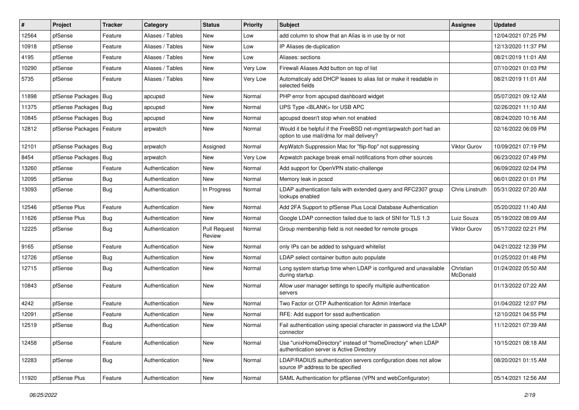| $\vert$ # | Project                    | Tracker    | Category         | <b>Status</b>                 | <b>Priority</b> | <b>Subject</b>                                                                                                | Assignee              | <b>Updated</b>      |
|-----------|----------------------------|------------|------------------|-------------------------------|-----------------|---------------------------------------------------------------------------------------------------------------|-----------------------|---------------------|
| 12564     | pfSense                    | Feature    | Aliases / Tables | New                           | Low             | add column to show that an Alias is in use by or not                                                          |                       | 12/04/2021 07:25 PM |
| 10918     | pfSense                    | Feature    | Aliases / Tables | <b>New</b>                    | Low             | IP Aliases de-duplication                                                                                     |                       | 12/13/2020 11:37 PM |
| 4195      | pfSense                    | Feature    | Aliases / Tables | New                           | Low             | Aliases: sections                                                                                             |                       | 08/21/2019 11:01 AM |
| 10290     | pfSense                    | Feature    | Aliases / Tables | New                           | Very Low        | Firewall Aliases Add button on top of list                                                                    |                       | 07/10/2021 01:03 PM |
| 5735      | pfSense                    | Feature    | Aliases / Tables | New                           | Very Low        | Automaticaly add DHCP leases to alias list or make it readable in<br>selected fields                          |                       | 08/21/2019 11:01 AM |
| 11898     | pfSense Packages   Bug     |            | apcupsd          | <b>New</b>                    | Normal          | PHP error from apcupsd dashboard widget                                                                       |                       | 05/07/2021 09:12 AM |
| 11375     | pfSense Packages   Bug     |            | apcupsd          | New                           | Normal          | UPS Type <blank> for USB APC</blank>                                                                          |                       | 02/26/2021 11:10 AM |
| 10845     | pfSense Packages   Bug     |            | apcupsd          | <b>New</b>                    | Normal          | apcupsd doesn't stop when not enabled                                                                         |                       | 08/24/2020 10:16 AM |
| 12812     | pfSense Packages   Feature |            | arpwatch         | New                           | Normal          | Would it be helpful if the FreeBSD net-mgmt/arpwatch port had an<br>option to use mail/dma for mail delivery? |                       | 02/16/2022 06:09 PM |
| 12101     | pfSense Packages   Bug     |            | arpwatch         | Assigned                      | Normal          | ArpWatch Suppression Mac for "flip-flop" not suppressing                                                      | <b>Viktor Gurov</b>   | 10/09/2021 07:19 PM |
| 8454      | pfSense Packages           | Bug        | arpwatch         | <b>New</b>                    | Very Low        | Arpwatch package break email notifications from other sources                                                 |                       | 06/23/2022 07:49 PM |
| 13260     | pfSense                    | Feature    | Authentication   | New                           | Normal          | Add support for OpenVPN static-challenge                                                                      |                       | 06/09/2022 02:04 PM |
| 12095     | pfSense                    | <b>Bug</b> | Authentication   | New                           | Normal          | Memory leak in pcscd                                                                                          |                       | 06/01/2022 01:01 PM |
| 13093     | pfSense                    | <b>Bug</b> | Authentication   | In Progress                   | Normal          | LDAP authentication fails with extended query and RFC2307 group<br>lookups enabled                            | Chris Linstruth       | 05/31/2022 07:20 AM |
| 12546     | pfSense Plus               | Feature    | Authentication   | <b>New</b>                    | Normal          | Add 2FA Support to pfSense Plus Local Database Authentication                                                 |                       | 05/20/2022 11:40 AM |
| 11626     | pfSense Plus               | Bug        | Authentication   | <b>New</b>                    | Normal          | Google LDAP connection failed due to lack of SNI for TLS 1.3                                                  | Luiz Souza            | 05/19/2022 08:09 AM |
| 12225     | pfSense                    | Bug        | Authentication   | <b>Pull Request</b><br>Review | Normal          | Group membership field is not needed for remote groups                                                        | <b>Viktor Gurov</b>   | 05/17/2022 02:21 PM |
| 9165      | pfSense                    | Feature    | Authentication   | New                           | Normal          | only IPs can be added to sshguard whitelist                                                                   |                       | 04/21/2022 12:39 PM |
| 12726     | pfSense                    | <b>Bug</b> | Authentication   | New                           | Normal          | LDAP select container button auto populate                                                                    |                       | 01/25/2022 01:48 PM |
| 12715     | pfSense                    | <b>Bug</b> | Authentication   | New                           | Normal          | Long system startup time when LDAP is configured and unavailable<br>during startup.                           | Christian<br>McDonald | 01/24/2022 05:50 AM |
| 10843     | pfSense                    | Feature    | Authentication   | <b>New</b>                    | Normal          | Allow user manager settings to specify multiple authentication<br>servers                                     |                       | 01/13/2022 07:22 AM |
| 4242      | pfSense                    | Feature    | Authentication   | <b>New</b>                    | Normal          | Two Factor or OTP Authentication for Admin Interface                                                          |                       | 01/04/2022 12:07 PM |
| 12091     | pfSense                    | Feature    | Authentication   | <b>New</b>                    | Normal          | RFE: Add support for sssd authentication                                                                      |                       | 12/10/2021 04:55 PM |
| 12519     | pfSense                    | Bug        | Authentication   | New                           | Normal          | Fail authentication using special character in password via the LDAP<br>connector                             |                       | 11/12/2021 07:39 AM |
| 12458     | pfSense                    | Feature    | Authentication   | New                           | Normal          | Use "unixHomeDirectory" instead of "homeDirectory" when LDAP<br>authentication server is Active Directory     |                       | 10/15/2021 08:18 AM |
| 12283     | pfSense                    | <b>Bug</b> | Authentication   | New                           | Normal          | LDAP/RADIUS authentication servers configuration does not allow<br>source IP address to be specified          |                       | 08/20/2021 01:15 AM |
| 11920     | pfSense Plus               | Feature    | Authentication   | New                           | Normal          | SAML Authentication for pfSense (VPN and webConfigurator)                                                     |                       | 05/14/2021 12:56 AM |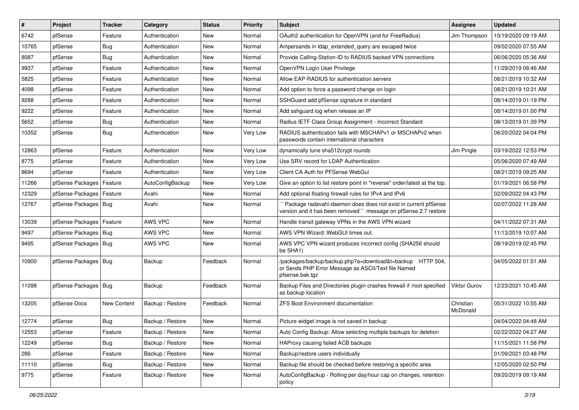| $\vert$ # | Project                | <b>Tracker</b> | Category         | <b>Status</b> | <b>Priority</b> | <b>Subject</b>                                                                                                                      | <b>Assignee</b>       | <b>Updated</b>      |
|-----------|------------------------|----------------|------------------|---------------|-----------------|-------------------------------------------------------------------------------------------------------------------------------------|-----------------------|---------------------|
| 6742      | pfSense                | Feature        | Authentication   | New           | Normal          | OAuth2 authentication for OpenVPN (and for FreeRadius)                                                                              | Jim Thompson          | 10/19/2020 09:19 AM |
| 10765     | pfSense                | <b>Bug</b>     | Authentication   | New           | Normal          | Ampersands in Idap extended query are escaped twice                                                                                 |                       | 09/02/2020 07:55 AM |
| 8087      | pfSense                | <b>Bug</b>     | Authentication   | <b>New</b>    | Normal          | Provide Calling-Station-ID to RADIUS backed VPN connections                                                                         |                       | 06/06/2020 05:36 AM |
| 9937      | pfSense                | Feature        | Authentication   | New           | Normal          | OpenVPN Login User Privilege                                                                                                        |                       | 11/29/2019 08:46 AM |
| 5825      | pfSense                | Feature        | Authentication   | <b>New</b>    | Normal          | Allow EAP-RADIUS for authentication servers                                                                                         |                       | 08/21/2019 10:32 AM |
| 4098      | pfSense                | Feature        | Authentication   | New           | Normal          | Add option to force a password change on login                                                                                      |                       | 08/21/2019 10:31 AM |
| 9288      | pfSense                | Feature        | Authentication   | <b>New</b>    | Normal          | SSHGuard add pfSense signature in standard                                                                                          |                       | 08/14/2019 01:19 PM |
| 9222      | pfSense                | Feature        | Authentication   | <b>New</b>    | Normal          | Add sshguard log when release an IP                                                                                                 |                       | 08/14/2019 01:00 PM |
| 5652      | pfSense                | <b>Bug</b>     | Authentication   | New           | Normal          | Radius IETF Class Group Assignment - Incorrect Standard                                                                             |                       | 08/13/2019 01:39 PM |
| 10352     | pfSense                | <b>Bug</b>     | Authentication   | New           | Very Low        | RADIUS authentication fails with MSCHAPv1 or MSCHAPv2 when<br>passwords contain international characters                            |                       | 06/20/2022 04:04 PM |
| 12863     | pfSense                | Feature        | Authentication   | <b>New</b>    | Very Low        | dynamically tune sha512crypt rounds                                                                                                 | Jim Pingle            | 03/19/2022 12:53 PM |
| 8775      | pfSense                | Feature        | Authentication   | New           | Very Low        | Use SRV record for LDAP Authentication                                                                                              |                       | 05/06/2020 07:49 AM |
| 8694      | pfSense                | Feature        | Authentication   | New           | Very Low        | Client CA Auth for PFSense WebGui                                                                                                   |                       | 08/21/2019 09:25 AM |
| 11266     | pfSense Packages       | Feature        | AutoConfigBackup | New           | Very Low        | Give an option to list restore point in "reverse" order/latest at the top.                                                          |                       | 01/19/2021 06:58 PM |
| 12329     | pfSense Packages       | Feature        | Avahi            | <b>New</b>    | Normal          | Add optional floating firewall rules for IPv4 and IPv6                                                                              |                       | 02/09/2022 04:43 PM |
| 12767     | pfSense Packages   Bug |                | Avahi            | New           | Normal          | Package radavahi-daemon does does not exist in current pfSense<br>version and it has been removed"" message on pfSense 2.7 restore  |                       | 02/07/2022 11:28 AM |
| 13039     | pfSense Packages       | Feature        | AWS VPC          | New           | Normal          | Handle transit gateway VPNs in the AWS VPN wizard                                                                                   |                       | 04/11/2022 07:31 AM |
| 9497      | pfSense Packages   Bug |                | AWS VPC          | <b>New</b>    | Normal          | AWS VPN Wizard: WebGUI times out.                                                                                                   |                       | 11/13/2019 10:07 AM |
| 9495      | pfSense Packages   Bug |                | AWS VPC          | New           | Normal          | AWS VPC VPN wizard produces incorrect config (SHA256 should<br>be SHA1)                                                             |                       | 08/19/2019 02:45 PM |
| 10900     | pfSense Packages   Bug |                | Backup           | Feedback      | Normal          | /packages/backup/backup.php?a=download&t=backup HTTP 504,<br>or Sends PHP Error Message as ASCII/Text file Named<br>pfsense.bak.tgz |                       | 04/05/2022 01:51 AM |
| 11098     | pfSense Packages   Bug |                | Backup           | Feedback      | Normal          | Backup Files and Directories plugin crashes firewall if /root specified<br>as backup location                                       | Viktor Gurov          | 12/23/2021 10:45 AM |
| 13205     | pfSense Docs           | New Content    | Backup / Restore | Feedback      | Normal          | <b>ZFS Boot Environment documentation</b>                                                                                           | Christian<br>McDonald | 05/31/2022 10:55 AM |
| 12774     | pfSense                | <b>Bug</b>     | Backup / Restore | New           | Normal          | Picture widget image is not saved in backup                                                                                         |                       | 04/04/2022 04:48 AM |
| 12553     | pfSense                | Feature        | Backup / Restore | New           | Normal          | Auto Config Backup: Allow selecting multiple backups for deletion                                                                   |                       | 02/22/2022 04:27 AM |
| 12249     | pfSense                | <b>Bug</b>     | Backup / Restore | New           | Normal          | HAProxy causing failed ACB backups                                                                                                  |                       | 11/15/2021 11:58 PM |
| 286       | pfSense                | Feature        | Backup / Restore | New           | Normal          | Backup/restore users individually                                                                                                   |                       | 01/09/2021 03:48 PM |
| 11110     | pfSense                | <b>Bug</b>     | Backup / Restore | New           | Normal          | Backup file should be checked before restoring a specific area                                                                      |                       | 12/05/2020 02:50 PM |
| 9775      | pfSense                | Feature        | Backup / Restore | New           | Normal          | AutoConfigBackup - Rolling per day/hour cap on changes, retention<br>policy                                                         |                       | 09/20/2019 09:19 AM |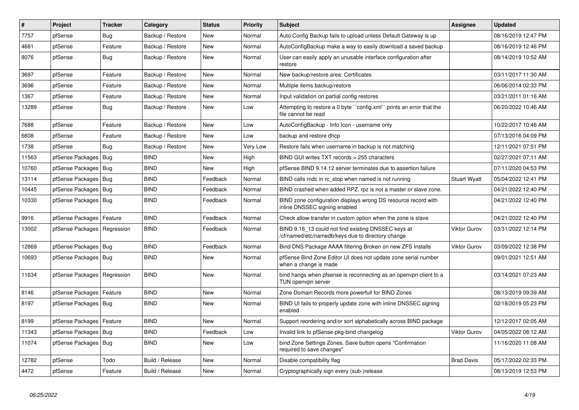| $\sharp$ | Project                       | <b>Tracker</b> | Category         | <b>Status</b> | <b>Priority</b> | <b>Subject</b>                                                                                           | <b>Assignee</b>     | <b>Updated</b>      |
|----------|-------------------------------|----------------|------------------|---------------|-----------------|----------------------------------------------------------------------------------------------------------|---------------------|---------------------|
| 7757     | pfSense                       | Bug            | Backup / Restore | <b>New</b>    | Normal          | Auto Config Backup fails to upload unless Default Gateway is up                                          |                     | 08/16/2019 12:47 PM |
| 4681     | pfSense                       | Feature        | Backup / Restore | New           | Normal          | AutoConfigBackup make a way to easily download a saved backup                                            |                     | 08/16/2019 12:46 PM |
| 8076     | pfSense                       | Bug            | Backup / Restore | <b>New</b>    | Normal          | User can easily apply an unusable interface configuration after<br>restore                               |                     | 08/14/2019 10:52 AM |
| 3697     | pfSense                       | Feature        | Backup / Restore | <b>New</b>    | Normal          | New backup/restore area: Certificates                                                                    |                     | 03/11/2017 11:30 AM |
| 3696     | pfSense                       | Feature        | Backup / Restore | <b>New</b>    | Normal          | Multiple items backup/restore                                                                            |                     | 06/06/2014 02:33 PM |
| 1367     | pfSense                       | Feature        | Backup / Restore | <b>New</b>    | Normal          | Input validation on partial config restores                                                              |                     | 03/21/2011 01:16 AM |
| 13289    | pfSense                       | <b>Bug</b>     | Backup / Restore | <b>New</b>    | Low             | Attempting to restore a 0 byte "config.xml" prints an error that the<br>file cannot be read              |                     | 06/20/2022 10:46 AM |
| 7688     | pfSense                       | Feature        | Backup / Restore | New           | Low             | AutoConfigBackup - Info Icon - username only                                                             |                     | 10/22/2017 10:46 AM |
| 6608     | pfSense                       | Feature        | Backup / Restore | <b>New</b>    | Low             | backup and restore dhcp                                                                                  |                     | 07/13/2016 04:09 PM |
| 1738     | pfSense                       | <b>Bug</b>     | Backup / Restore | <b>New</b>    | Very Low        | Restore fails when username in backup is not matching                                                    |                     | 12/11/2021 07:51 PM |
| 11563    | pfSense Packages              | l Bug          | <b>BIND</b>      | <b>New</b>    | High            | BIND GUI writes TXT records > 255 characters                                                             |                     | 02/27/2021 07:11 AM |
| 10760    | pfSense Packages              | Bug            | <b>BIND</b>      | New           | High            | pfSense BIND 9.14.12 server terminates due to assertion failure                                          |                     | 07/11/2020 04:53 PM |
| 13114    | pfSense Packages              | Bug            | <b>BIND</b>      | Feedback      | Normal          | BIND calls rndc in rc stop when named is not running                                                     | <b>Stuart Wyatt</b> | 05/04/2022 12:41 PM |
| 10445    | pfSense Packages              | Bug            | <b>BIND</b>      | Feedback      | Normal          | BIND crashed when added RPZ. rpz is not a master or slave zone.                                          |                     | 04/21/2022 12:40 PM |
| 10330    | pfSense Packages   Bug        |                | <b>BIND</b>      | Feedback      | Normal          | BIND zone configuration displays wrong DS resource record with<br>inline DNSSEC signing enabled          |                     | 04/21/2022 12:40 PM |
| 9916     | pfSense Packages              | Feature        | <b>BIND</b>      | Feedback      | Normal          | Check allow-transfer in custom option when the zone is slave                                             |                     | 04/21/2022 12:40 PM |
| 13002    | pfSense Packages   Regression |                | <b>BIND</b>      | Feedback      | Normal          | BIND 9.16 13 could not find existing DNSSEC keys at<br>/cf/named/etc/namedb/keys due to directory change | <b>Viktor Gurov</b> | 03/31/2022 12:14 PM |
| 12869    | pfSense Packages   Bug        |                | <b>BIND</b>      | Feedback      | Normal          | Bind DNS Package AAAA filtering Broken on new ZFS Installs                                               | Viktor Gurov        | 03/09/2022 12:38 PM |
| 10693    | pfSense Packages   Bug        |                | <b>BIND</b>      | <b>New</b>    | Normal          | pfSense Bind Zone Editor UI does not update zone serial number<br>when a change is made                  |                     | 09/01/2021 12:51 AM |
| 11634    | pfSense Packages              | Regression     | <b>BIND</b>      | <b>New</b>    | Normal          | bind hangs when pfsense is reconnecting as an openvpn client to a<br>TUN openvpn server                  |                     | 03/14/2021 07:23 AM |
| 8146     | pfSense Packages              | Feature        | <b>BIND</b>      | <b>New</b>    | Normal          | Zone Domain Records more powerfull for BIND Zones                                                        |                     | 08/13/2019 09:39 AM |
| 8197     | pfSense Packages              | Bug            | <b>BIND</b>      | <b>New</b>    | Normal          | BIND UI fails to properly update zone with inline DNSSEC signing<br>enabled                              |                     | 02/18/2019 05:23 PM |
| 8199     | pfSense Packages              | Feature        | <b>BIND</b>      | <b>New</b>    | Normal          | Support reordering and/or sort alphabetically across BIND package                                        |                     | 12/12/2017 02:05 AM |
| 11343    | pfSense Packages              | Bug            | <b>BIND</b>      | Feedback      | Low             | Invalid link to pfSense-pkg-bind changelog                                                               | Viktor Gurov        | 04/05/2022 08:12 AM |
| 11074    | pfSense Packages   Bug        |                | <b>BIND</b>      | New           | Low             | bind Zone Settings Zones, Save button opens "Confirmation<br>required to save changes"                   |                     | 11/16/2020 11:08 AM |
| 12782    | pfSense                       | Todo           | Build / Release  | <b>New</b>    | Normal          | Disable compatibility flag                                                                               | <b>Brad Davis</b>   | 05/17/2022 02:33 PM |
| 4472     | pfSense                       | Feature        | Build / Release  | <b>New</b>    | Normal          | Cryptographically sign every (sub-)release                                                               |                     | 08/13/2019 12:53 PM |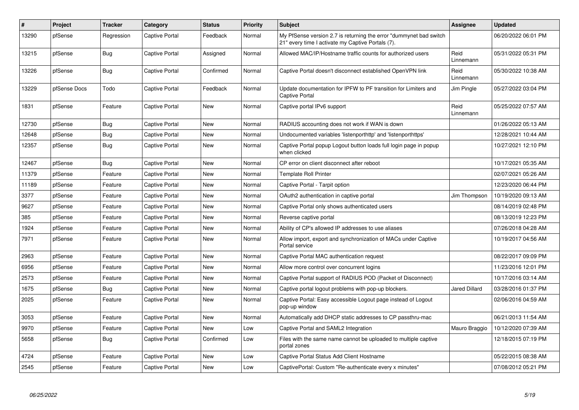| $\vert$ # | Project      | <b>Tracker</b> | Category              | <b>Status</b> | <b>Priority</b> | <b>Subject</b>                                                                                                          | Assignee             | Updated             |
|-----------|--------------|----------------|-----------------------|---------------|-----------------|-------------------------------------------------------------------------------------------------------------------------|----------------------|---------------------|
| 13290     | pfSense      | Regression     | <b>Captive Portal</b> | Feedback      | Normal          | My PfSense version 2.7 is returning the error "dummynet bad switch<br>21" every time I activate my Captive Portals (7). |                      | 06/20/2022 06:01 PM |
| 13215     | pfSense      | <b>Bug</b>     | Captive Portal        | Assigned      | Normal          | Allowed MAC/IP/Hostname traffic counts for authorized users                                                             | Reid<br>Linnemann    | 05/31/2022 05:31 PM |
| 13226     | pfSense      | <b>Bug</b>     | Captive Portal        | Confirmed     | Normal          | Captive Portal doesn't disconnect established OpenVPN link                                                              | Reid<br>Linnemann    | 05/30/2022 10:38 AM |
| 13229     | pfSense Docs | Todo           | Captive Portal        | Feedback      | Normal          | Update documentation for IPFW to PF transition for Limiters and<br><b>Captive Portal</b>                                | Jim Pingle           | 05/27/2022 03:04 PM |
| 1831      | pfSense      | Feature        | Captive Portal        | <b>New</b>    | Normal          | Captive portal IPv6 support                                                                                             | Reid<br>Linnemann    | 05/25/2022 07:57 AM |
| 12730     | pfSense      | Bug            | Captive Portal        | <b>New</b>    | Normal          | RADIUS accounting does not work if WAN is down                                                                          |                      | 01/26/2022 05:13 AM |
| 12648     | pfSense      | Bug            | <b>Captive Portal</b> | <b>New</b>    | Normal          | Undocumented variables 'listenporthttp' and 'listenporthttps'                                                           |                      | 12/28/2021 10:44 AM |
| 12357     | pfSense      | <b>Bug</b>     | Captive Portal        | New           | Normal          | Captive Portal popup Logout button loads full login page in popup<br>when clicked                                       |                      | 10/27/2021 12:10 PM |
| 12467     | pfSense      | <b>Bug</b>     | Captive Portal        | <b>New</b>    | Normal          | CP error on client disconnect after reboot                                                                              |                      | 10/17/2021 05:35 AM |
| 11379     | pfSense      | Feature        | Captive Portal        | New           | Normal          | <b>Template Roll Printer</b>                                                                                            |                      | 02/07/2021 05:26 AM |
| 11189     | pfSense      | Feature        | Captive Portal        | <b>New</b>    | Normal          | Captive Portal - Tarpit option                                                                                          |                      | 12/23/2020 06:44 PM |
| 3377      | pfSense      | Feature        | Captive Portal        | <b>New</b>    | Normal          | OAuth2 authentication in captive portal                                                                                 | Jim Thompson         | 10/19/2020 09:13 AM |
| 9627      | pfSense      | Feature        | Captive Portal        | <b>New</b>    | Normal          | Captive Portal only shows authenticated users                                                                           |                      | 08/14/2019 02:48 PM |
| 385       | pfSense      | Feature        | Captive Portal        | <b>New</b>    | Normal          | Reverse captive portal                                                                                                  |                      | 08/13/2019 12:23 PM |
| 1924      | pfSense      | Feature        | Captive Portal        | <b>New</b>    | Normal          | Ability of CP's allowed IP addresses to use aliases                                                                     |                      | 07/26/2018 04:28 AM |
| 7971      | pfSense      | Feature        | Captive Portal        | New           | Normal          | Allow import, export and synchronization of MACs under Captive<br>Portal service                                        |                      | 10/19/2017 04:56 AM |
| 2963      | pfSense      | Feature        | Captive Portal        | <b>New</b>    | Normal          | Captive Portal MAC authentication request                                                                               |                      | 08/22/2017 09:09 PM |
| 6956      | pfSense      | Feature        | Captive Portal        | New           | Normal          | Allow more control over concurrent logins                                                                               |                      | 11/23/2016 12:01 PM |
| 2573      | pfSense      | Feature        | <b>Captive Portal</b> | <b>New</b>    | Normal          | Captive Portal support of RADIUS POD (Packet of Disconnect)                                                             |                      | 10/17/2016 03:14 AM |
| 1675      | pfSense      | Bug            | Captive Portal        | New           | Normal          | Captive portal logout problems with pop-up blockers.                                                                    | <b>Jared Dillard</b> | 03/28/2016 01:37 PM |
| 2025      | pfSense      | Feature        | <b>Captive Portal</b> | New           | Normal          | Captive Portal: Easy accessible Logout page instead of Logout<br>pop-up window                                          |                      | 02/06/2016 04:59 AM |
| 3053      | pfSense      | Feature        | Captive Portal        | New           | Normal          | Automatically add DHCP static addresses to CP passthru-mac                                                              |                      | 06/21/2013 11:54 AM |
| 9970      | pfSense      | Feature        | <b>Captive Portal</b> | <b>New</b>    | Low             | Captive Portal and SAML2 Integration                                                                                    | Mauro Braggio        | 10/12/2020 07:39 AM |
| 5658      | pfSense      | <b>Bug</b>     | Captive Portal        | Confirmed     | Low             | Files with the same name cannot be uploaded to multiple captive<br>portal zones                                         |                      | 12/18/2015 07:19 PM |
| 4724      | pfSense      | Feature        | <b>Captive Portal</b> | <b>New</b>    | Low             | Captive Portal Status Add Client Hostname                                                                               |                      | 05/22/2015 08:38 AM |
| 2545      | pfSense      | Feature        | Captive Portal        | <b>New</b>    | Low             | CaptivePortal: Custom "Re-authenticate every x minutes"                                                                 |                      | 07/08/2012 05:21 PM |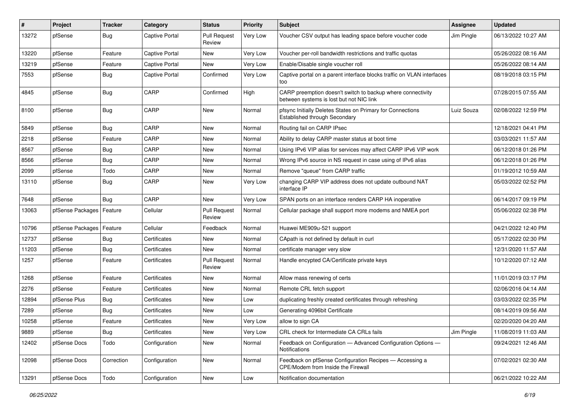| #     | Project          | <b>Tracker</b> | Category              | <b>Status</b>                 | <b>Priority</b> | <b>Subject</b>                                                                                          | Assignee   | <b>Updated</b>      |
|-------|------------------|----------------|-----------------------|-------------------------------|-----------------|---------------------------------------------------------------------------------------------------------|------------|---------------------|
| 13272 | pfSense          | <b>Bug</b>     | <b>Captive Portal</b> | <b>Pull Request</b><br>Review | Very Low        | Voucher CSV output has leading space before voucher code                                                | Jim Pingle | 06/13/2022 10:27 AM |
| 13220 | pfSense          | Feature        | Captive Portal        | New                           | Very Low        | Voucher per-roll bandwidth restrictions and traffic quotas                                              |            | 05/26/2022 08:16 AM |
| 13219 | pfSense          | Feature        | Captive Portal        | New                           | Very Low        | Enable/Disable single voucher roll                                                                      |            | 05/26/2022 08:14 AM |
| 7553  | pfSense          | <b>Bug</b>     | <b>Captive Portal</b> | Confirmed                     | Very Low        | Captive portal on a parent interface blocks traffic on VLAN interfaces<br>too                           |            | 08/19/2018 03:15 PM |
| 4845  | pfSense          | <b>Bug</b>     | CARP                  | Confirmed                     | High            | CARP preemption doesn't switch to backup where connectivity<br>between systems is lost but not NIC link |            | 07/28/2015 07:55 AM |
| 8100  | pfSense          | <b>Bug</b>     | CARP                  | <b>New</b>                    | Normal          | pfsync Initially Deletes States on Primary for Connections<br>Established through Secondary             | Luiz Souza | 02/08/2022 12:59 PM |
| 5849  | pfSense          | <b>Bug</b>     | CARP                  | New                           | Normal          | Routing fail on CARP IPsec                                                                              |            | 12/18/2021 04:41 PM |
| 2218  | pfSense          | Feature        | CARP                  | New                           | Normal          | Ability to delay CARP master status at boot time                                                        |            | 03/03/2021 11:57 AM |
| 8567  | pfSense          | <b>Bug</b>     | CARP                  | <b>New</b>                    | Normal          | Using IPv6 VIP alias for services may affect CARP IPv6 VIP work                                         |            | 06/12/2018 01:26 PM |
| 8566  | pfSense          | <b>Bug</b>     | CARP                  | New                           | Normal          | Wrong IPv6 source in NS request in case using of IPv6 alias                                             |            | 06/12/2018 01:26 PM |
| 2099  | pfSense          | Todo           | CARP                  | New                           | Normal          | Remove "queue" from CARP traffic                                                                        |            | 01/19/2012 10:59 AM |
| 13110 | pfSense          | <b>Bug</b>     | CARP                  | New                           | Very Low        | changing CARP VIP address does not update outbound NAT<br>interface IP                                  |            | 05/03/2022 02:52 PM |
| 7648  | pfSense          | <b>Bug</b>     | CARP                  | <b>New</b>                    | Very Low        | SPAN ports on an interface renders CARP HA inoperative                                                  |            | 06/14/2017 09:19 PM |
| 13063 | pfSense Packages | Feature        | Cellular              | <b>Pull Request</b><br>Review | Normal          | Cellular package shall support more modems and NMEA port                                                |            | 05/06/2022 02:38 PM |
| 10796 | pfSense Packages | Feature        | Cellular              | Feedback                      | Normal          | Huawei ME909u-521 support                                                                               |            | 04/21/2022 12:40 PM |
| 12737 | pfSense          | <b>Bug</b>     | Certificates          | New                           | Normal          | CApath is not defined by default in curl                                                                |            | 05/17/2022 02:30 PM |
| 11203 | pfSense          | <b>Bug</b>     | Certificates          | New                           | Normal          | certificate manager very slow                                                                           |            | 12/31/2020 11:57 AM |
| 1257  | pfSense          | Feature        | Certificates          | <b>Pull Request</b><br>Review | Normal          | Handle encypted CA/Certificate private keys                                                             |            | 10/12/2020 07:12 AM |
| 1268  | pfSense          | Feature        | Certificates          | <b>New</b>                    | Normal          | Allow mass renewing of certs                                                                            |            | 11/01/2019 03:17 PM |
| 2276  | pfSense          | Feature        | Certificates          | New                           | Normal          | Remote CRL fetch support                                                                                |            | 02/06/2016 04:14 AM |
| 12894 | pfSense Plus     | <b>Bug</b>     | Certificates          | <b>New</b>                    | Low             | duplicating freshly created certificates through refreshing                                             |            | 03/03/2022 02:35 PM |
| 7289  | pfSense          | <b>Bug</b>     | Certificates          | <b>New</b>                    | Low             | Generating 4096bit Certificate                                                                          |            | 08/14/2019 09:56 AM |
| 10258 | pfSense          | Feature        | Certificates          | New                           | Very Low        | allow to sign CA                                                                                        |            | 02/20/2020 04:20 AM |
| 9889  | pfSense          | Bug            | Certificates          | New                           | Very Low        | CRL check for Intermediate CA CRLs fails                                                                | Jim Pingle | 11/08/2019 11:03 AM |
| 12402 | pfSense Docs     | Todo           | Configuration         | New                           | Normal          | Feedback on Configuration - Advanced Configuration Options -<br>Notifications                           |            | 09/24/2021 12:46 AM |
| 12098 | pfSense Docs     | Correction     | Configuration         | New                           | Normal          | Feedback on pfSense Configuration Recipes - Accessing a<br>CPE/Modem from Inside the Firewall           |            | 07/02/2021 02:30 AM |
| 13291 | pfSense Docs     | Todo           | Configuration         | New                           | Low             | Notification documentation                                                                              |            | 06/21/2022 10:22 AM |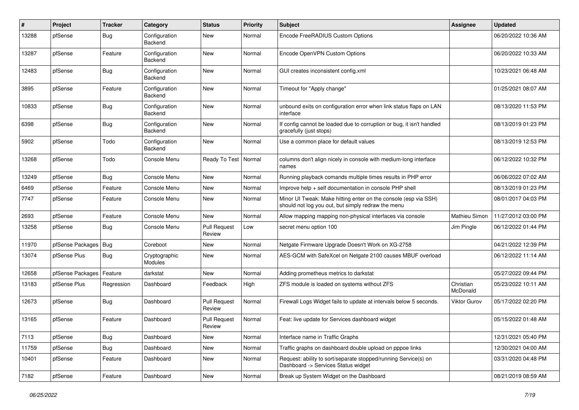| #     | Project          | <b>Tracker</b> | Category                 | <b>Status</b>                 | <b>Priority</b> | Subject                                                                                                               | Assignee              | <b>Updated</b>      |
|-------|------------------|----------------|--------------------------|-------------------------------|-----------------|-----------------------------------------------------------------------------------------------------------------------|-----------------------|---------------------|
| 13288 | pfSense          | <b>Bug</b>     | Configuration<br>Backend | <b>New</b>                    | Normal          | Encode FreeRADIUS Custom Options                                                                                      |                       | 06/20/2022 10:36 AM |
| 13287 | pfSense          | Feature        | Configuration<br>Backend | New                           | Normal          | Encode OpenVPN Custom Options                                                                                         |                       | 06/20/2022 10:33 AM |
| 12483 | pfSense          | <b>Bug</b>     | Configuration<br>Backend | <b>New</b>                    | Normal          | GUI creates inconsistent config.xml                                                                                   |                       | 10/23/2021 06:48 AM |
| 3895  | pfSense          | Feature        | Configuration<br>Backend | New                           | Normal          | Timeout for "Apply change"                                                                                            |                       | 01/25/2021 08:07 AM |
| 10833 | pfSense          | <b>Bug</b>     | Configuration<br>Backend | <b>New</b>                    | Normal          | unbound exits on configuration error when link status flaps on LAN<br>interface                                       |                       | 08/13/2020 11:53 PM |
| 6398  | pfSense          | <b>Bug</b>     | Configuration<br>Backend | <b>New</b>                    | Normal          | If config cannot be loaded due to corruption or bug, it isn't handled<br>gracefully (just stops)                      |                       | 08/13/2019 01:23 PM |
| 5902  | pfSense          | Todo           | Configuration<br>Backend | <b>New</b>                    | Normal          | Use a common place for default values                                                                                 |                       | 08/13/2019 12:53 PM |
| 13268 | pfSense          | Todo           | Console Menu             | Ready To Test                 | Normal          | columns don't align nicely in console with medium-long interface<br>names                                             |                       | 06/12/2022 10:32 PM |
| 13249 | pfSense          | Bug            | Console Menu             | New                           | Normal          | Running playback comands multiple times results in PHP error                                                          |                       | 06/06/2022 07:02 AM |
| 6469  | pfSense          | Feature        | Console Menu             | New                           | Normal          | Improve help + self documentation in console PHP shell                                                                |                       | 08/13/2019 01:23 PM |
| 7747  | pfSense          | Feature        | Console Menu             | <b>New</b>                    | Normal          | Minor UI Tweak: Make hitting enter on the console (esp via SSH)<br>should not log you out, but simply redraw the menu |                       | 08/01/2017 04:03 PM |
| 2693  | pfSense          | Feature        | Console Menu             | <b>New</b>                    | Normal          | Allow mapping mapping non-physical interfaces via console                                                             | <b>Mathieu Simon</b>  | 11/27/2012 03:00 PM |
| 13258 | pfSense          | <b>Bug</b>     | Console Menu             | <b>Pull Request</b><br>Review | Low             | secret menu option 100                                                                                                | Jim Pingle            | 06/12/2022 01:44 PM |
| 11970 | pfSense Packages | Bug            | Coreboot                 | <b>New</b>                    | Normal          | Netgate Firmware Upgrade Doesn't Work on XG-2758                                                                      |                       | 04/21/2022 12:39 PM |
| 13074 | pfSense Plus     | Bug            | Cryptographic<br>Modules | New                           | Normal          | AES-GCM with SafeXcel on Netgate 2100 causes MBUF overload                                                            |                       | 06/12/2022 11:14 AM |
| 12658 | pfSense Packages | Feature        | darkstat                 | <b>New</b>                    | Normal          | Adding prometheus metrics to darkstat                                                                                 |                       | 05/27/2022 09:44 PM |
| 13183 | pfSense Plus     | Regression     | Dashboard                | Feedback                      | High            | ZFS module is loaded on systems without ZFS                                                                           | Christian<br>McDonald | 05/23/2022 10:11 AM |
| 12673 | pfSense          | <b>Bug</b>     | Dashboard                | <b>Pull Request</b><br>Review | Normal          | Firewall Logs Widget fails to update at intervals below 5 seconds.                                                    | Viktor Gurov          | 05/17/2022 02:20 PM |
| 13165 | pfSense          | Feature        | Dashboard                | <b>Pull Request</b><br>Review | Normal          | Feat: live update for Services dashboard widget                                                                       |                       | 05/15/2022 01:48 AM |
| 7113  | pfSense          | <b>Bug</b>     | Dashboard                | New                           | Normal          | Interface name in Traffic Graphs                                                                                      |                       | 12/31/2021 05:40 PM |
| 11759 | pfSense          | <b>Bug</b>     | Dashboard                | New                           | Normal          | Traffic graphs on dashboard double upload on pppoe links                                                              |                       | 12/30/2021 04:00 AM |
| 10401 | pfSense          | Feature        | Dashboard                | New                           | Normal          | Request: ability to sort/separate stopped/running Service(s) on<br>Dashboard -> Services Status widget                |                       | 03/31/2020 04:48 PM |
| 7182  | pfSense          | Feature        | Dashboard                | New                           | Normal          | Break up System Widget on the Dashboard                                                                               |                       | 08/21/2019 08:59 AM |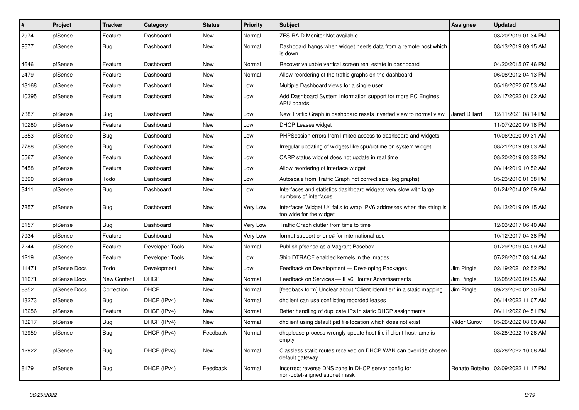| $\sharp$ | Project      | <b>Tracker</b> | Category        | <b>Status</b> | <b>Priority</b> | <b>Subject</b>                                                                                   | <b>Assignee</b>     | <b>Updated</b>                       |
|----------|--------------|----------------|-----------------|---------------|-----------------|--------------------------------------------------------------------------------------------------|---------------------|--------------------------------------|
| 7974     | pfSense      | Feature        | Dashboard       | New           | Normal          | <b>ZFS RAID Monitor Not available</b>                                                            |                     | 08/20/2019 01:34 PM                  |
| 9677     | pfSense      | <b>Bug</b>     | Dashboard       | <b>New</b>    | Normal          | Dashboard hangs when widget needs data from a remote host which<br>is down                       |                     | 08/13/2019 09:15 AM                  |
| 4646     | pfSense      | Feature        | Dashboard       | <b>New</b>    | Normal          | Recover valuable vertical screen real estate in dashboard                                        |                     | 04/20/2015 07:46 PM                  |
| 2479     | pfSense      | Feature        | Dashboard       | <b>New</b>    | Normal          | Allow reordering of the traffic graphs on the dashboard                                          |                     | 06/08/2012 04:13 PM                  |
| 13168    | pfSense      | Feature        | Dashboard       | New           | Low             | Multiple Dashboard views for a single user                                                       |                     | 05/16/2022 07:53 AM                  |
| 10395    | pfSense      | Feature        | Dashboard       | New           | Low             | Add Dashboard System Information support for more PC Engines<br>APU boards                       |                     | 02/17/2022 01:02 AM                  |
| 7387     | pfSense      | Bug            | Dashboard       | <b>New</b>    | Low             | New Traffic Graph in dashboard resets inverted view to normal view                               | Jared Dillard       | 12/11/2021 08:14 PM                  |
| 10280    | pfSense      | Feature        | Dashboard       | <b>New</b>    | Low             | DHCP Leases widget                                                                               |                     | 11/07/2020 09:18 PM                  |
| 9353     | pfSense      | <b>Bug</b>     | Dashboard       | New           | Low             | PHPSession errors from limited access to dashboard and widgets                                   |                     | 10/06/2020 09:31 AM                  |
| 7788     | pfSense      | <b>Bug</b>     | Dashboard       | New           | Low             | Irregular updating of widgets like cpu/uptime on system widget.                                  |                     | 08/21/2019 09:03 AM                  |
| 5567     | pfSense      | Feature        | Dashboard       | <b>New</b>    | Low             | CARP status widget does not update in real time                                                  |                     | 08/20/2019 03:33 PM                  |
| 8458     | pfSense      | Feature        | Dashboard       | New           | Low             | Allow reordering of interface widget                                                             |                     | 08/14/2019 10:52 AM                  |
| 6390     | pfSense      | Todo           | Dashboard       | New           | Low             | Autoscale from Traffic Graph not correct size (big graphs)                                       |                     | 05/23/2016 01:38 PM                  |
| 3411     | pfSense      | <b>Bug</b>     | Dashboard       | New           | Low             | Interfaces and statistics dashboard widgets very slow with large<br>numbers of interfaces        |                     | 01/24/2014 02:09 AM                  |
| 7857     | pfSense      | <b>Bug</b>     | Dashboard       | <b>New</b>    | Very Low        | Interfaces Widget U/I fails to wrap IPV6 addresses when the string is<br>too wide for the widget |                     | 08/13/2019 09:15 AM                  |
| 8157     | pfSense      | <b>Bug</b>     | Dashboard       | <b>New</b>    | Very Low        | Traffic Graph clutter from time to time                                                          |                     | 12/03/2017 06:40 AM                  |
| 7934     | pfSense      | Feature        | Dashboard       | <b>New</b>    | Very Low        | format support phone# for international use                                                      |                     | 10/12/2017 04:38 PM                  |
| 7244     | pfSense      | Feature        | Developer Tools | New           | Normal          | Publish pfsense as a Vagrant Basebox                                                             |                     | 01/29/2019 04:09 AM                  |
| 1219     | pfSense      | Feature        | Developer Tools | New           | Low             | Ship DTRACE enabled kernels in the images                                                        |                     | 07/26/2017 03:14 AM                  |
| 11471    | pfSense Docs | Todo           | Development     | New           | Low             | Feedback on Development - Developing Packages                                                    | Jim Pingle          | 02/19/2021 02:52 PM                  |
| 11071    | pfSense Docs | New Content    | <b>DHCP</b>     | <b>New</b>    | Normal          | Feedback on Services - IPv6 Router Advertisements                                                | Jim Pingle          | 12/08/2020 09:25 AM                  |
| 8852     | pfSense Docs | Correction     | <b>DHCP</b>     | <b>New</b>    | Normal          | [feedback form] Unclear about "Client Identifier" in a static mapping                            | Jim Pingle          | 09/23/2020 02:30 PM                  |
| 13273    | pfSense      | <b>Bug</b>     | DHCP (IPv4)     | New           | Normal          | dhclient can use conflicting recorded leases                                                     |                     | 06/14/2022 11:07 AM                  |
| 13256    | pfSense      | Feature        | DHCP (IPv4)     | New           | Normal          | Better handling of duplicate IPs in static DHCP assignments                                      |                     | 06/11/2022 04:51 PM                  |
| 13217    | pfSense      | Bug            | DHCP (IPv4)     | New           | Normal          | dhclient using default pid file location which does not exist                                    | <b>Viktor Gurov</b> | 05/26/2022 08:09 AM                  |
| 12959    | pfSense      | <b>Bug</b>     | DHCP (IPv4)     | Feedback      | Normal          | dhcplease process wrongly update host file if client-hostname is<br>empty                        |                     | 03/28/2022 10:26 AM                  |
| 12922    | pfSense      | <b>Bug</b>     | DHCP (IPv4)     | New           | Normal          | Classless static routes received on DHCP WAN can override chosen<br>default gateway              |                     | 03/28/2022 10:08 AM                  |
| 8179     | pfSense      | <b>Bug</b>     | DHCP (IPv4)     | Feedback      | Normal          | Incorrect reverse DNS zone in DHCP server config for<br>non-octet-aligned subnet mask            |                     | Renato Botelho   02/09/2022 11:17 PM |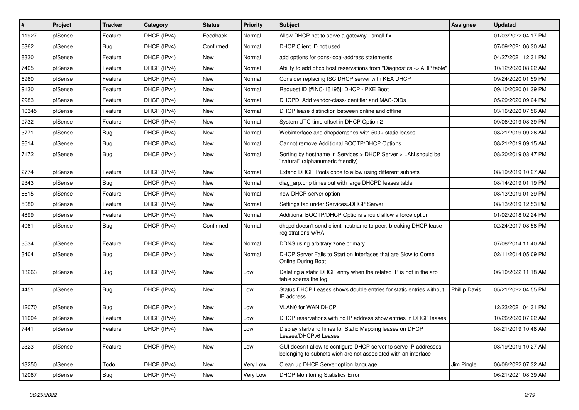| $\vert$ # | Project | <b>Tracker</b> | Category    | <b>Status</b> | <b>Priority</b> | Subject                                                                                                                            | <b>Assignee</b>      | <b>Updated</b>      |
|-----------|---------|----------------|-------------|---------------|-----------------|------------------------------------------------------------------------------------------------------------------------------------|----------------------|---------------------|
| 11927     | pfSense | Feature        | DHCP (IPv4) | Feedback      | Normal          | Allow DHCP not to serve a gateway - small fix                                                                                      |                      | 01/03/2022 04:17 PM |
| 6362      | pfSense | Bug            | DHCP (IPv4) | Confirmed     | Normal          | DHCP Client ID not used                                                                                                            |                      | 07/09/2021 06:30 AM |
| 8330      | pfSense | Feature        | DHCP (IPv4) | New           | Normal          | add options for ddns-local-address statements                                                                                      |                      | 04/27/2021 12:31 PM |
| 7405      | pfSense | Feature        | DHCP (IPv4) | New           | Normal          | Ability to add dhcp host reservations from "Diagnostics -> ARP table"                                                              |                      | 10/12/2020 08:22 AM |
| 6960      | pfSense | Feature        | DHCP (IPv4) | <b>New</b>    | Normal          | Consider replacing ISC DHCP server with KEA DHCP                                                                                   |                      | 09/24/2020 01:59 PM |
| 9130      | pfSense | Feature        | DHCP (IPv4) | New           | Normal          | Request ID [#INC-16195]: DHCP - PXE Boot                                                                                           |                      | 09/10/2020 01:39 PM |
| 2983      | pfSense | Feature        | DHCP (IPv4) | New           | Normal          | DHCPD: Add vendor-class-identifier and MAC-OIDs                                                                                    |                      | 05/29/2020 09:24 PM |
| 10345     | pfSense | Feature        | DHCP (IPv4) | <b>New</b>    | Normal          | DHCP lease distinction between online and offline                                                                                  |                      | 03/16/2020 07:56 AM |
| 9732      | pfSense | Feature        | DHCP (IPv4) | New           | Normal          | System UTC time offset in DHCP Option 2                                                                                            |                      | 09/06/2019 08:39 PM |
| 3771      | pfSense | <b>Bug</b>     | DHCP (IPv4) | <b>New</b>    | Normal          | Webinterface and dhcpdcrashes with 500+ static leases                                                                              |                      | 08/21/2019 09:26 AM |
| 8614      | pfSense | Bug            | DHCP (IPv4) | New           | Normal          | Cannot remove Additional BOOTP/DHCP Options                                                                                        |                      | 08/21/2019 09:15 AM |
| 7172      | pfSense | Bug            | DHCP (IPv4) | New           | Normal          | Sorting by hostname in Services > DHCP Server > LAN should be<br>"natural" (alphanumeric friendly)                                 |                      | 08/20/2019 03:47 PM |
| 2774      | pfSense | Feature        | DHCP (IPv4) | <b>New</b>    | Normal          | Extend DHCP Pools code to allow using different subnets                                                                            |                      | 08/19/2019 10:27 AM |
| 9343      | pfSense | Bug            | DHCP (IPv4) | New           | Normal          | diag_arp.php times out with large DHCPD leases table                                                                               |                      | 08/14/2019 01:19 PM |
| 6615      | pfSense | Feature        | DHCP (IPv4) | <b>New</b>    | Normal          | new DHCP server option                                                                                                             |                      | 08/13/2019 01:39 PM |
| 5080      | pfSense | Feature        | DHCP (IPv4) | <b>New</b>    | Normal          | Settings tab under Services>DHCP Server                                                                                            |                      | 08/13/2019 12:53 PM |
| 4899      | pfSense | Feature        | DHCP (IPv4) | <b>New</b>    | Normal          | Additional BOOTP/DHCP Options should allow a force option                                                                          |                      | 01/02/2018 02:24 PM |
| 4061      | pfSense | Bug            | DHCP (IPv4) | Confirmed     | Normal          | dhcpd doesn't send client-hostname to peer, breaking DHCP lease<br>registrations w/HA                                              |                      | 02/24/2017 08:58 PM |
| 3534      | pfSense | Feature        | DHCP (IPv4) | New           | Normal          | DDNS using arbitrary zone primary                                                                                                  |                      | 07/08/2014 11:40 AM |
| 3404      | pfSense | Bug            | DHCP (IPv4) | New           | Normal          | DHCP Server Fails to Start on Interfaces that are Slow to Come<br><b>Online During Boot</b>                                        |                      | 02/11/2014 05:09 PM |
| 13263     | pfSense | <b>Bug</b>     | DHCP (IPv4) | <b>New</b>    | Low             | Deleting a static DHCP entry when the related IP is not in the arp<br>table spams the log                                          |                      | 06/10/2022 11:18 AM |
| 4451      | pfSense | <b>Bug</b>     | DHCP (IPv4) | <b>New</b>    | Low             | Status DHCP Leases shows double entries for static entries without<br>IP address                                                   | <b>Phillip Davis</b> | 05/21/2022 04:55 PM |
| 12070     | pfSense | <b>Bug</b>     | DHCP (IPv4) | <b>New</b>    | Low             | <b>VLANO for WAN DHCP</b>                                                                                                          |                      | 12/23/2021 04:31 PM |
| 11004     | pfSense | Feature        | DHCP (IPv4) | <b>New</b>    | Low             | DHCP reservations with no IP address show entries in DHCP leases                                                                   |                      | 10/26/2020 07:22 AM |
| 7441      | pfSense | Feature        | DHCP (IPv4) | New           | Low             | Display start/end times for Static Mapping leases on DHCP<br>Leases/DHCPv6 Leases                                                  |                      | 08/21/2019 10:48 AM |
| 2323      | pfSense | Feature        | DHCP (IPv4) | New           | Low             | GUI doesn't allow to configure DHCP server to serve IP addresses<br>belonging to subnets wich are not associated with an interface |                      | 08/19/2019 10:27 AM |
| 13250     | pfSense | Todo           | DHCP (IPv4) | New           | Very Low        | Clean up DHCP Server option language                                                                                               | Jim Pingle           | 06/06/2022 07:32 AM |
| 12067     | pfSense | <b>Bug</b>     | DHCP (IPv4) | New           | Very Low        | <b>DHCP Monitoring Statistics Error</b>                                                                                            |                      | 06/21/2021 08:39 AM |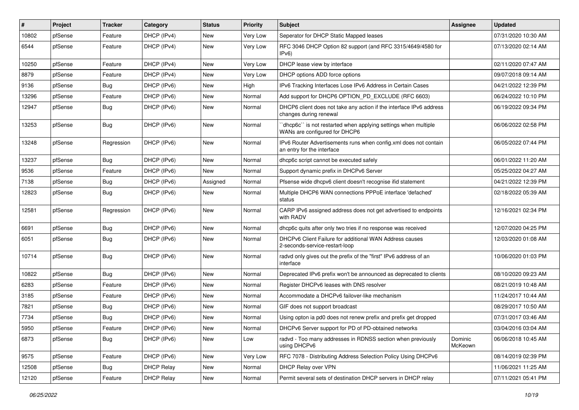| #     | Project | <b>Tracker</b> | Category          | <b>Status</b> | <b>Priority</b> | <b>Subject</b>                                                                                 | <b>Assignee</b>    | <b>Updated</b>      |
|-------|---------|----------------|-------------------|---------------|-----------------|------------------------------------------------------------------------------------------------|--------------------|---------------------|
| 10802 | pfSense | Feature        | DHCP (IPv4)       | New           | Very Low        | Seperator for DHCP Static Mapped leases                                                        |                    | 07/31/2020 10:30 AM |
| 6544  | pfSense | Feature        | DHCP (IPv4)       | New           | Very Low        | RFC 3046 DHCP Option 82 support (and RFC 3315/4649/4580 for<br>IPv6                            |                    | 07/13/2020 02:14 AM |
| 10250 | pfSense | Feature        | DHCP (IPv4)       | New           | Very Low        | DHCP lease view by interface                                                                   |                    | 02/11/2020 07:47 AM |
| 8879  | pfSense | Feature        | DHCP (IPv4)       | New           | Very Low        | DHCP options ADD force options                                                                 |                    | 09/07/2018 09:14 AM |
| 9136  | pfSense | <b>Bug</b>     | DHCP (IPv6)       | New           | High            | IPv6 Tracking Interfaces Lose IPv6 Address in Certain Cases                                    |                    | 04/21/2022 12:39 PM |
| 13296 | pfSense | Feature        | DHCP (IPv6)       | New           | Normal          | Add support for DHCP6 OPTION PD EXCLUDE (RFC 6603)                                             |                    | 06/24/2022 10:10 PM |
| 12947 | pfSense | <b>Bug</b>     | DHCP (IPv6)       | New           | Normal          | DHCP6 client does not take any action if the interface IPv6 address<br>changes during renewal  |                    | 06/19/2022 09:34 PM |
| 13253 | pfSense | <b>Bug</b>     | DHCP (IPv6)       | <b>New</b>    | Normal          | dhcp6c" is not restarted when applying settings when multiple<br>WANs are configured for DHCP6 |                    | 06/06/2022 02:58 PM |
| 13248 | pfSense | Regression     | DHCP (IPv6)       | <b>New</b>    | Normal          | IPv6 Router Advertisements runs when config.xml does not contain<br>an entry for the interface |                    | 06/05/2022 07:44 PM |
| 13237 | pfSense | Bug            | DHCP (IPv6)       | New           | Normal          | dhcp6c script cannot be executed safely                                                        |                    | 06/01/2022 11:20 AM |
| 9536  | pfSense | Feature        | DHCP (IPv6)       | New           | Normal          | Support dynamic prefix in DHCPv6 Server                                                        |                    | 05/25/2022 04:27 AM |
| 7138  | pfSense | <b>Bug</b>     | DHCP (IPv6)       | Assigned      | Normal          | Pfsense wide dhcpv6 client doesn't recognise ifid statement                                    |                    | 04/21/2022 12:39 PM |
| 12823 | pfSense | <b>Bug</b>     | DHCP (IPv6)       | New           | Normal          | Multiple DHCP6 WAN connections PPPoE interface 'defached'<br>status                            |                    | 02/18/2022 05:39 AM |
| 12581 | pfSense | Regression     | DHCP (IPv6)       | New           | Normal          | CARP IPv6 assigned address does not get advertised to endpoints<br>with RADV                   |                    | 12/16/2021 02:34 PM |
| 6691  | pfSense | <b>Bug</b>     | DHCP (IPv6)       | <b>New</b>    | Normal          | dhcp6c quits after only two tries if no response was received                                  |                    | 12/07/2020 04:25 PM |
| 6051  | pfSense | <b>Bug</b>     | DHCP (IPv6)       | New           | Normal          | DHCPv6 Client Failure for additional WAN Address causes<br>2-seconds-service-restart-loop      |                    | 12/03/2020 01:08 AM |
| 10714 | pfSense | <b>Bug</b>     | DHCP (IPv6)       | <b>New</b>    | Normal          | radvd only gives out the prefix of the "first" IPv6 address of an<br>interface                 |                    | 10/06/2020 01:03 PM |
| 10822 | pfSense | Bug            | DHCP (IPv6)       | New           | Normal          | Deprecated IPv6 prefix won't be announced as deprecated to clients                             |                    | 08/10/2020 09:23 AM |
| 6283  | pfSense | Feature        | DHCP (IPv6)       | New           | Normal          | Register DHCPv6 leases with DNS resolver                                                       |                    | 08/21/2019 10:48 AM |
| 3185  | pfSense | Feature        | DHCP (IPv6)       | New           | Normal          | Accommodate a DHCPv6 failover-like mechanism                                                   |                    | 11/24/2017 10:44 AM |
| 7821  | pfSense | <b>Bug</b>     | DHCP (IPv6)       | <b>New</b>    | Normal          | GIF does not support broadcast                                                                 |                    | 08/29/2017 10:50 AM |
| 7734  | pfSense | <b>Bug</b>     | DHCP (IPv6)       | New           | Normal          | Using opton ia pd0 does not renew prefix and prefix get dropped                                |                    | 07/31/2017 03:46 AM |
| 5950  | pfSense | Feature        | DHCP (IPv6)       | New           | Normal          | DHCPv6 Server support for PD of PD-obtained networks                                           |                    | 03/04/2016 03:04 AM |
| 6873  | pfSense | <b>Bug</b>     | DHCP (IPv6)       | New           | Low             | radvd - Too many addresses in RDNSS section when previously<br>using DHCPv6                    | Dominic<br>McKeown | 06/06/2018 10:45 AM |
| 9575  | pfSense | Feature        | DHCP (IPv6)       | New           | Very Low        | RFC 7078 - Distributing Address Selection Policy Using DHCPv6                                  |                    | 08/14/2019 02:39 PM |
| 12508 | pfSense | <b>Bug</b>     | <b>DHCP Relay</b> | New           | Normal          | DHCP Relay over VPN                                                                            |                    | 11/06/2021 11:25 AM |
| 12120 | pfSense | Feature        | <b>DHCP Relay</b> | New           | Normal          | Permit several sets of destination DHCP servers in DHCP relay                                  |                    | 07/11/2021 05:41 PM |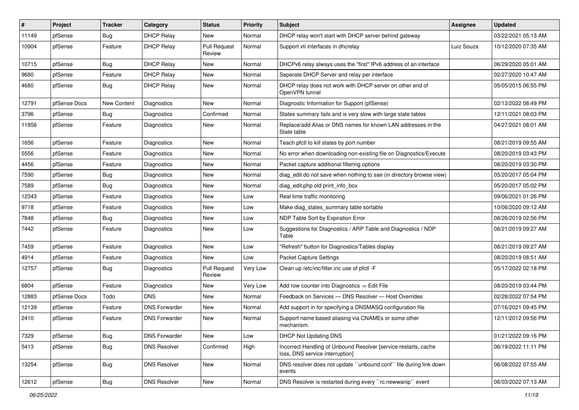| $\vert$ # | Project      | <b>Tracker</b> | Category             | <b>Status</b>                 | <b>Priority</b> | <b>Subject</b>                                                                                     | Assignee   | <b>Updated</b>      |
|-----------|--------------|----------------|----------------------|-------------------------------|-----------------|----------------------------------------------------------------------------------------------------|------------|---------------------|
| 11149     | pfSense      | <b>Bug</b>     | <b>DHCP Relay</b>    | New                           | Normal          | DHCP relay won't start with DHCP server behind gateway                                             |            | 03/22/2021 05:13 AM |
| 10904     | pfSense      | Feature        | <b>DHCP Relay</b>    | <b>Pull Request</b><br>Review | Normal          | Support vti interfaces in dhcrelay                                                                 | Luiz Souza | 10/12/2020 07:35 AM |
| 10715     | pfSense      | <b>Bug</b>     | <b>DHCP Relay</b>    | New                           | Normal          | DHCPv6 relay always uses the "first" IPv6 address of an interface                                  |            | 06/29/2020 05:01 AM |
| 9680      | pfSense      | Feature        | <b>DHCP Relay</b>    | <b>New</b>                    | Normal          | Seperate DHCP Server and relay per interface                                                       |            | 02/27/2020 10:47 AM |
| 4680      | pfSense      | Bug            | <b>DHCP Relay</b>    | New                           | Normal          | DHCP relay does not work with DHCP server on other end of<br>OpenVPN tunnel                        |            | 05/05/2015 06:55 PM |
| 12791     | pfSense Docs | New Content    | Diagnostics          | <b>New</b>                    | Normal          | Diagnostic Information for Support (pfSense)                                                       |            | 02/13/2022 08:49 PM |
| 3796      | pfSense      | <b>Bug</b>     | Diagnostics          | Confirmed                     | Normal          | States summary fails and is very slow with large state tables                                      |            | 12/11/2021 08:03 PM |
| 11856     | pfSense      | Feature        | Diagnostics          | New                           | Normal          | Replace/add Alias or DNS names for known LAN addresses in the<br>State table                       |            | 04/27/2021 08:01 AM |
| 1656      | pfSense      | Feature        | Diagnostics          | <b>New</b>                    | Normal          | Teach pfctl to kill states by port number                                                          |            | 08/21/2019 09:55 AM |
| 5556      | pfSense      | Feature        | Diagnostics          | <b>New</b>                    | Normal          | No error when downloading non-existing file on Diagnostics/Execute                                 |            | 08/20/2019 03:43 PM |
| 4456      | pfSense      | Feature        | Diagnostics          | New                           | Normal          | Packet capture additional filtering options                                                        |            | 08/20/2019 03:30 PM |
| 7590      | pfSense      | Bug            | Diagnostics          | <b>New</b>                    | Normal          | diag edit do not save when nothing to sae (in directory browse view)                               |            | 05/20/2017 05:04 PM |
| 7589      | pfSense      | <b>Bug</b>     | Diagnostics          | New                           | Normal          | diag_edit.php old print_info_box                                                                   |            | 05/20/2017 05:02 PM |
| 12343     | pfSense      | Feature        | Diagnostics          | New                           | Low             | Real time traffic monitoring                                                                       |            | 09/06/2021 01:26 PM |
| 9718      | pfSense      | Feature        | Diagnostics          | <b>New</b>                    | Low             | Make diag_states_summary table sortable                                                            |            | 10/06/2020 09:12 AM |
| 7848      | pfSense      | Bug            | Diagnostics          | New                           | Low             | NDP Table Sort by Expiration Error                                                                 |            | 08/26/2019 02:56 PM |
| 7442      | pfSense      | Feature        | Diagnostics          | New                           | Low             | Suggestions for Diagnostics / ARP Table and Diagnostics / NDP<br>Table                             |            | 08/21/2019 09:27 AM |
| 7459      | pfSense      | Feature        | Diagnostics          | New                           | Low             | "Refresh" button for Diagnostics/Tables display                                                    |            | 08/21/2019 09:27 AM |
| 4914      | pfSense      | Feature        | Diagnostics          | New                           | Low             | <b>Packet Capture Settings</b>                                                                     |            | 08/20/2019 08:51 AM |
| 12757     | pfSense      | <b>Bug</b>     | Diagnostics          | <b>Pull Request</b><br>Review | Very Low        | Clean up /etc/inc/filter.inc use of pfctl -F                                                       |            | 05/17/2022 02:18 PM |
| 6804      | pfSense      | Feature        | Diagnostics          | <b>New</b>                    | Very Low        | Add row counter into Diagnostics -> Edit File                                                      |            | 08/20/2019 03:44 PM |
| 12883     | pfSense Docs | Todo           | DNS.                 | New                           | Normal          | Feedback on Services - DNS Resolver - Host Overrides                                               |            | 02/28/2022 07:54 PM |
| 12139     | pfSense      | Feature        | <b>DNS Forwarder</b> | New                           | Normal          | Add support in for specifying a DNSMASQ configuration file                                         |            | 07/16/2021 09:45 PM |
| 2410      | pfSense      | Feature        | <b>DNS Forwarder</b> | <b>New</b>                    | Normal          | Support name based aliasing via CNAMEs or some other<br>mechanism.                                 |            | 12/11/2012 09:56 PM |
| 7329      | pfSense      | <b>Bug</b>     | <b>DNS Forwarder</b> | New                           | Low             | <b>DHCP Not Updating DNS</b>                                                                       |            | 01/21/2022 09:16 PM |
| 5413      | pfSense      | <b>Bug</b>     | <b>DNS Resolver</b>  | Confirmed                     | High            | Incorrect Handling of Unbound Resolver [service restarts, cache<br>loss, DNS service interruption] |            | 06/19/2022 11:11 PM |
| 13254     | pfSense      | <b>Bug</b>     | <b>DNS Resolver</b>  | New                           | Normal          | DNS resolver does not update "unbound.conf" file during link down<br>events                        |            | 06/08/2022 07:55 AM |
| 12612     | pfSense      | Bug            | <b>DNS Resolver</b>  | New                           | Normal          | DNS Resolver is restarted during every "rc.newwanip" event                                         |            | 06/03/2022 07:13 AM |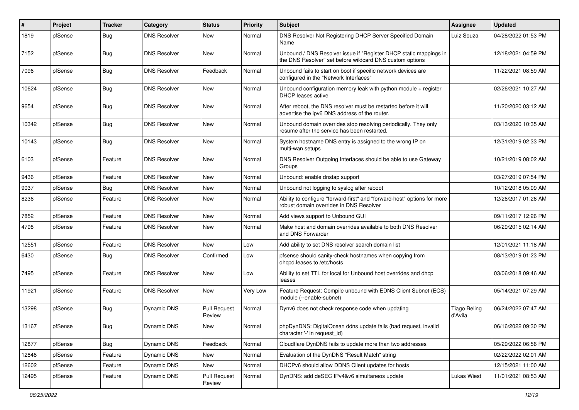| $\vert$ # | Project | <b>Tracker</b> | Category            | <b>Status</b>                 | <b>Priority</b> | Subject                                                                                                                       | Assignee                       | <b>Updated</b>      |
|-----------|---------|----------------|---------------------|-------------------------------|-----------------|-------------------------------------------------------------------------------------------------------------------------------|--------------------------------|---------------------|
| 1819      | pfSense | <b>Bug</b>     | <b>DNS Resolver</b> | <b>New</b>                    | Normal          | DNS Resolver Not Registering DHCP Server Specified Domain<br>Name                                                             | Luiz Souza                     | 04/28/2022 01:53 PM |
| 7152      | pfSense | <b>Bug</b>     | <b>DNS Resolver</b> | <b>New</b>                    | Normal          | Unbound / DNS Resolver issue if "Register DHCP static mappings in<br>the DNS Resolver" set before wildcard DNS custom options |                                | 12/18/2021 04:59 PM |
| 7096      | pfSense | Bug            | <b>DNS Resolver</b> | Feedback                      | Normal          | Unbound fails to start on boot if specific network devices are<br>configured in the "Network Interfaces"                      |                                | 11/22/2021 08:59 AM |
| 10624     | pfSense | <b>Bug</b>     | <b>DNS Resolver</b> | <b>New</b>                    | Normal          | Unbound configuration memory leak with python module + register<br>DHCP leases active                                         |                                | 02/26/2021 10:27 AM |
| 9654      | pfSense | <b>Bug</b>     | <b>DNS Resolver</b> | <b>New</b>                    | Normal          | After reboot, the DNS resolver must be restarted before it will<br>advertise the ipv6 DNS address of the router.              |                                | 11/20/2020 03:12 AM |
| 10342     | pfSense | <b>Bug</b>     | <b>DNS Resolver</b> | <b>New</b>                    | Normal          | Unbound domain overrides stop resolving periodically. They only<br>resume after the service has been restarted.               |                                | 03/13/2020 10:35 AM |
| 10143     | pfSense | <b>Bug</b>     | <b>DNS Resolver</b> | <b>New</b>                    | Normal          | System hostname DNS entry is assigned to the wrong IP on<br>multi-wan setups                                                  |                                | 12/31/2019 02:33 PM |
| 6103      | pfSense | Feature        | <b>DNS Resolver</b> | <b>New</b>                    | Normal          | DNS Resolver Outgoing Interfaces should be able to use Gateway<br>Groups                                                      |                                | 10/21/2019 08:02 AM |
| 9436      | pfSense | Feature        | <b>DNS Resolver</b> | New                           | Normal          | Unbound: enable dnstap support                                                                                                |                                | 03/27/2019 07:54 PM |
| 9037      | pfSense | Bug            | <b>DNS Resolver</b> | <b>New</b>                    | Normal          | Unbound not logging to syslog after reboot                                                                                    |                                | 10/12/2018 05:09 AM |
| 8236      | pfSense | Feature        | <b>DNS Resolver</b> | <b>New</b>                    | Normal          | Ability to configure "forward-first" and "forward-host" options for more<br>robust domain overrides in DNS Resolver           |                                | 12/26/2017 01:26 AM |
| 7852      | pfSense | Feature        | <b>DNS Resolver</b> | <b>New</b>                    | Normal          | Add views support to Unbound GUI                                                                                              |                                | 09/11/2017 12:26 PM |
| 4798      | pfSense | Feature        | <b>DNS Resolver</b> | <b>New</b>                    | Normal          | Make host and domain overrides available to both DNS Resolver<br>and DNS Forwarder                                            |                                | 06/29/2015 02:14 AM |
| 12551     | pfSense | Feature        | <b>DNS Resolver</b> | <b>New</b>                    | Low             | Add ability to set DNS resolver search domain list                                                                            |                                | 12/01/2021 11:18 AM |
| 6430      | pfSense | Bug            | <b>DNS Resolver</b> | Confirmed                     | Low             | pfsense should sanity-check hostnames when copying from<br>dhcpd.leases to /etc/hosts                                         |                                | 08/13/2019 01:23 PM |
| 7495      | pfSense | Feature        | <b>DNS Resolver</b> | <b>New</b>                    | Low             | Ability to set TTL for local for Unbound host overrides and dhcp<br>leases                                                    |                                | 03/06/2018 09:46 AM |
| 11921     | pfSense | Feature        | <b>DNS Resolver</b> | <b>New</b>                    | Very Low        | Feature Request: Compile unbound with EDNS Client Subnet (ECS)<br>module (--enable-subnet)                                    |                                | 05/14/2021 07:29 AM |
| 13298     | pfSense | <b>Bug</b>     | Dynamic DNS         | <b>Pull Request</b><br>Review | Normal          | Dynv6 does not check response code when updating                                                                              | <b>Tiago Beling</b><br>d'Avila | 06/24/2022 07:47 AM |
| 13167     | pfSense | Bug            | Dynamic DNS         | New                           | Normal          | phpDynDNS: DigitalOcean ddns update fails (bad request, invalid<br>character '-' in request_id)                               |                                | 06/16/2022 09:30 PM |
| 12877     | pfSense | <b>Bug</b>     | Dynamic DNS         | Feedback                      | Normal          | Cloudflare DynDNS fails to update more than two addresses                                                                     |                                | 05/29/2022 06:56 PM |
| 12848     | pfSense | Feature        | Dynamic DNS         | New                           | Normal          | Evaluation of the DynDNS "Result Match" string                                                                                |                                | 02/22/2022 02:01 AM |
| 12602     | pfSense | Feature        | Dynamic DNS         | New                           | Normal          | DHCPv6 should allow DDNS Client updates for hosts                                                                             |                                | 12/15/2021 11:00 AM |
| 12495     | pfSense | Feature        | Dynamic DNS         | <b>Pull Request</b><br>Review | Normal          | DynDNS: add deSEC IPv4&v6 simultaneos update                                                                                  | <b>Lukas Wiest</b>             | 11/01/2021 08:53 AM |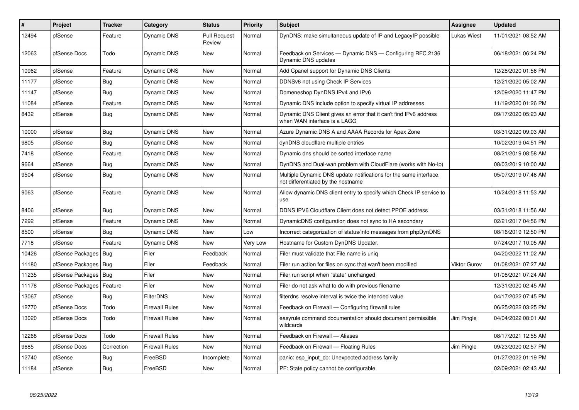| $\sharp$ | Project                | <b>Tracker</b> | Category              | <b>Status</b>                 | <b>Priority</b> | <b>Subject</b>                                                                                          | Assignee           | <b>Updated</b>      |
|----------|------------------------|----------------|-----------------------|-------------------------------|-----------------|---------------------------------------------------------------------------------------------------------|--------------------|---------------------|
| 12494    | pfSense                | Feature        | Dynamic DNS           | <b>Pull Request</b><br>Review | Normal          | DynDNS: make simultaneous update of IP and LegacyIP possible                                            | <b>Lukas Wiest</b> | 11/01/2021 08:52 AM |
| 12063    | pfSense Docs           | Todo           | Dynamic DNS           | New                           | Normal          | Feedback on Services — Dynamic DNS — Configuring RFC 2136<br>Dynamic DNS updates                        |                    | 06/18/2021 06:24 PM |
| 10962    | pfSense                | Feature        | Dynamic DNS           | <b>New</b>                    | Normal          | Add Cpanel support for Dynamic DNS Clients                                                              |                    | 12/28/2020 01:56 PM |
| 11177    | pfSense                | Bug            | Dynamic DNS           | New                           | Normal          | DDNSv6 not using Check IP Services                                                                      |                    | 12/21/2020 05:02 AM |
| 11147    | pfSense                | <b>Bug</b>     | Dynamic DNS           | <b>New</b>                    | Normal          | Domeneshop DynDNS IPv4 and IPv6                                                                         |                    | 12/09/2020 11:47 PM |
| 11084    | pfSense                | Feature        | Dynamic DNS           | New                           | Normal          | Dynamic DNS include option to specify virtual IP addresses                                              |                    | 11/19/2020 01:26 PM |
| 8432     | pfSense                | <b>Bug</b>     | Dynamic DNS           | <b>New</b>                    | Normal          | Dynamic DNS Client gives an error that it can't find IPv6 address<br>when WAN interface is a LAGG       |                    | 09/17/2020 05:23 AM |
| 10000    | pfSense                | Bug            | Dynamic DNS           | New                           | Normal          | Azure Dynamic DNS A and AAAA Records for Apex Zone                                                      |                    | 03/31/2020 09:03 AM |
| 9805     | pfSense                | Bug            | Dynamic DNS           | <b>New</b>                    | Normal          | dynDNS cloudflare multiple entries                                                                      |                    | 10/02/2019 04:51 PM |
| 7418     | pfSense                | Feature        | Dynamic DNS           | <b>New</b>                    | Normal          | Dynamic dns should be sorted interface name                                                             |                    | 08/21/2019 08:58 AM |
| 9664     | pfSense                | <b>Bug</b>     | <b>Dynamic DNS</b>    | <b>New</b>                    | Normal          | DynDNS and Dual-wan problem with CloudFlare (works with No-Ip)                                          |                    | 08/03/2019 10:00 AM |
| 9504     | pfSense                | Bug            | Dynamic DNS           | <b>New</b>                    | Normal          | Multiple Dynamic DNS update notifications for the same interface,<br>not differentiated by the hostname |                    | 05/07/2019 07:46 AM |
| 9063     | pfSense                | Feature        | Dynamic DNS           | New                           | Normal          | Allow dynamic DNS client entry to specify which Check IP service to<br>use                              |                    | 10/24/2018 11:53 AM |
| 8406     | pfSense                | Bug            | Dynamic DNS           | <b>New</b>                    | Normal          | DDNS IPV6 Cloudflare Client does not detect PPOE address                                                |                    | 03/31/2018 11:56 AM |
| 7292     | pfSense                | Feature        | Dynamic DNS           | <b>New</b>                    | Normal          | DynamicDNS configuration does not sync to HA secondary                                                  |                    | 02/21/2017 04:56 PM |
| 8500     | pfSense                | Bug            | Dynamic DNS           | <b>New</b>                    | Low             | Incorrect categorization of status/info messages from phpDynDNS                                         |                    | 08/16/2019 12:50 PM |
| 7718     | pfSense                | Feature        | Dynamic DNS           | <b>New</b>                    | Very Low        | Hostname for Custom DynDNS Updater.                                                                     |                    | 07/24/2017 10:05 AM |
| 10426    | pfSense Packages       | <b>Bug</b>     | Filer                 | Feedback                      | Normal          | Filer must validate that File name is unig                                                              |                    | 04/20/2022 11:02 AM |
| 11180    | pfSense Packages       | <b>Bug</b>     | Filer                 | Feedback                      | Normal          | Filer run action for files on sync that wan't been modified                                             | Viktor Gurov       | 01/08/2021 07:27 AM |
| 11235    | pfSense Packages   Bug |                | Filer                 | New                           | Normal          | Filer run script when "state" unchanged                                                                 |                    | 01/08/2021 07:24 AM |
| 11178    | pfSense Packages       | Feature        | Filer                 | New                           | Normal          | Filer do not ask what to do with previous filename                                                      |                    | 12/31/2020 02:45 AM |
| 13067    | pfSense                | Bug            | <b>FilterDNS</b>      | <b>New</b>                    | Normal          | filterdns resolve interval is twice the intended value                                                  |                    | 04/17/2022 07:45 PM |
| 12770    | pfSense Docs           | Todo           | <b>Firewall Rules</b> | New                           | Normal          | Feedback on Firewall — Configuring firewall rules                                                       |                    | 06/25/2022 03:25 PM |
| 13020    | pfSense Docs           | Todo           | Firewall Rules        | New                           | Normal          | easyrule command documentation should document permissible<br>wildcards                                 | Jim Pingle         | 04/04/2022 08:01 AM |
| 12268    | pfSense Docs           | Todo           | <b>Firewall Rules</b> | New                           | Normal          | Feedback on Firewall - Aliases                                                                          |                    | 08/17/2021 12:55 AM |
| 9685     | pfSense Docs           | Correction     | <b>Firewall Rules</b> | <b>New</b>                    | Normal          | Feedback on Firewall - Floating Rules                                                                   | Jim Pingle         | 09/23/2020 02:57 PM |
| 12740    | pfSense                | Bug            | FreeBSD               | Incomplete                    | Normal          | panic: esp input cb: Unexpected address family                                                          |                    | 01/27/2022 01:19 PM |
| 11184    | pfSense                | Bug            | FreeBSD               | <b>New</b>                    | Normal          | PF: State policy cannot be configurable                                                                 |                    | 02/09/2021 02:43 AM |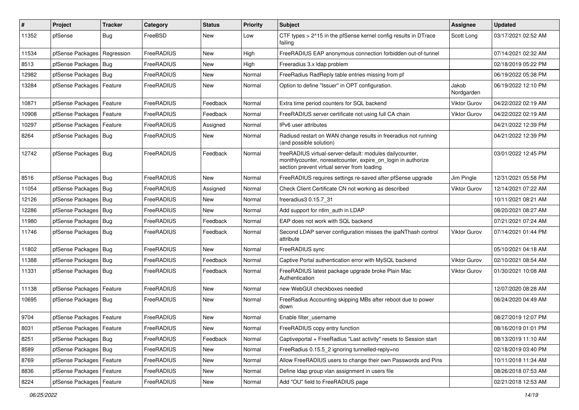| $\vert$ # | Project                    | <b>Tracker</b> | Category   | <b>Status</b> | <b>Priority</b> | Subject                                                                                                                                                                 | Assignee            | <b>Updated</b>      |
|-----------|----------------------------|----------------|------------|---------------|-----------------|-------------------------------------------------------------------------------------------------------------------------------------------------------------------------|---------------------|---------------------|
| 11352     | pfSense                    | <b>Bug</b>     | FreeBSD    | New           | Low             | CTF types > 2^15 in the pfSense kernel config results in DTrace<br>failing                                                                                              | Scott Long          | 03/17/2021 02:52 AM |
| 11534     | pfSense Packages           | Regression     | FreeRADIUS | New           | High            | FreeRADIUS EAP anonymous connection forbidden out-of-tunnel                                                                                                             |                     | 07/14/2021 02:32 AM |
| 8513      | pfSense Packages   Bug     |                | FreeRADIUS | New           | High            | Freeradius 3.x Idap problem                                                                                                                                             |                     | 02/18/2019 05:22 PM |
| 12982     | pfSense Packages   Bug     |                | FreeRADIUS | New           | Normal          | FreeRadius RadReply table entries missing from pf                                                                                                                       |                     | 06/19/2022 05:38 PM |
| 13284     | pfSense Packages           | Feature        | FreeRADIUS | New           | Normal          | Option to define "Issuer" in OPT configuration.                                                                                                                         | Jakob<br>Nordgarden | 06/19/2022 12:10 PM |
| 10871     | pfSense Packages           | Feature        | FreeRADIUS | Feedback      | Normal          | Extra time period counters for SQL backend                                                                                                                              | Viktor Gurov        | 04/22/2022 02:19 AM |
| 10908     | pfSense Packages   Feature |                | FreeRADIUS | Feedback      | Normal          | FreeRADIUS server certificate not using full CA chain                                                                                                                   | Viktor Gurov        | 04/22/2022 02:19 AM |
| 10297     | pfSense Packages   Feature |                | FreeRADIUS | Assigned      | Normal          | IPv6 user attributes                                                                                                                                                    |                     | 04/21/2022 12:39 PM |
| 8264      | pfSense Packages   Bug     |                | FreeRADIUS | New           | Normal          | Radiusd restart on WAN change results in freeradius not running<br>(and possible solution)                                                                              |                     | 04/21/2022 12:39 PM |
| 12742     | pfSense Packages   Bug     |                | FreeRADIUS | Feedback      | Normal          | freeRADIUS virtual-server-default: modules dailycounter,<br>monthlycounter, noresetcounter, expire_on_login in authorize<br>section prevent virtual server from loading |                     | 03/01/2022 12:45 PM |
| 8516      | pfSense Packages   Bug     |                | FreeRADIUS | <b>New</b>    | Normal          | FreeRADIUS requires settings re-saved after pfSense upgrade                                                                                                             | Jim Pingle          | 12/31/2021 05:58 PM |
| 11054     | pfSense Packages   Bug     |                | FreeRADIUS | Assigned      | Normal          | Check Client Certificate CN not working as described                                                                                                                    | <b>Viktor Gurov</b> | 12/14/2021 07:22 AM |
| 12126     | pfSense Packages   Bug     |                | FreeRADIUS | New           | Normal          | freeradius3 0.15.7 31                                                                                                                                                   |                     | 10/11/2021 08:21 AM |
| 12286     | pfSense Packages   Bug     |                | FreeRADIUS | <b>New</b>    | Normal          | Add support for ntlm auth in LDAP                                                                                                                                       |                     | 08/20/2021 08:27 AM |
| 11980     | pfSense Packages   Bug     |                | FreeRADIUS | Feedback      | Normal          | EAP does not work with SQL backend                                                                                                                                      |                     | 07/21/2021 07:24 AM |
| 11746     | pfSense Packages   Bug     |                | FreeRADIUS | Feedback      | Normal          | Second LDAP server configuration misses the ipaNThash control<br>attribute                                                                                              | Viktor Gurov        | 07/14/2021 01:44 PM |
| 11802     | pfSense Packages   Bug     |                | FreeRADIUS | <b>New</b>    | Normal          | FreeRADIUS sync                                                                                                                                                         |                     | 05/10/2021 04:18 AM |
| 11388     | pfSense Packages   Bug     |                | FreeRADIUS | Feedback      | Normal          | Captive Portal authentication error with MySQL backend                                                                                                                  | Viktor Gurov        | 02/10/2021 08:54 AM |
| 11331     | pfSense Packages   Bug     |                | FreeRADIUS | Feedback      | Normal          | FreeRADIUS latest package upgrade broke Plain Mac<br>Authentication                                                                                                     | <b>Viktor Gurov</b> | 01/30/2021 10:08 AM |
| 11138     | pfSense Packages   Feature |                | FreeRADIUS | New           | Normal          | new WebGUI checkboxes needed                                                                                                                                            |                     | 12/07/2020 08:28 AM |
| 10695     | pfSense Packages   Bug     |                | FreeRADIUS | New           | Normal          | FreeRadius Accounting skipping MBs after reboot due to power<br>down                                                                                                    |                     | 06/24/2020 04:49 AM |
| 9704      | pfSense Packages   Feature |                | FreeRADIUS | New           | Normal          | Enable filter_username                                                                                                                                                  |                     | 08/27/2019 12:07 PM |
| 8031      | pfSense Packages   Feature |                | FreeRADIUS | New           | Normal          | FreeRADIUS copy entry function                                                                                                                                          |                     | 08/16/2019 01:01 PM |
| 8251      | pfSense Packages   Bug     |                | FreeRADIUS | Feedback      | Normal          | Captiveportal + FreeRadius "Last activity" resets to Session start                                                                                                      |                     | 08/13/2019 11:10 AM |
| 8589      | pfSense Packages   Bug     |                | FreeRADIUS | New           | Normal          | FreeRadius 0.15.5 2 ignoring tunnelled-reply=no                                                                                                                         |                     | 02/18/2019 03:40 PM |
| 8769      | pfSense Packages   Feature |                | FreeRADIUS | New           | Normal          | Allow FreeRADIUS users to change their own Passwords and Pins                                                                                                           |                     | 10/11/2018 11:34 AM |
| 8836      | pfSense Packages   Feature |                | FreeRADIUS | New           | Normal          | Define Idap group vlan assignment in users file                                                                                                                         |                     | 08/26/2018 07:53 AM |
| 8224      | pfSense Packages   Feature |                | FreeRADIUS | New           | Normal          | Add "OU" field to FreeRADIUS page                                                                                                                                       |                     | 02/21/2018 12:53 AM |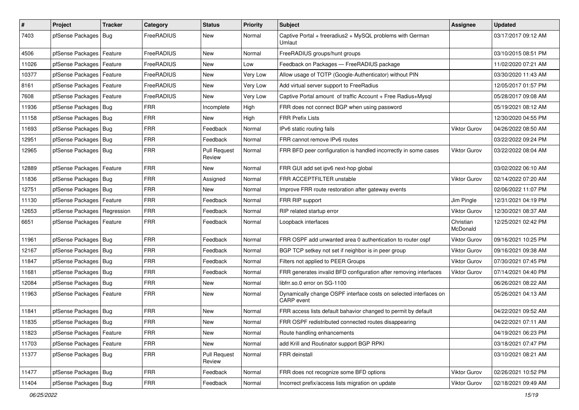| #     | Project                    | <b>Tracker</b> | Category   | <b>Status</b>                 | <b>Priority</b> | <b>Subject</b>                                                                  | Assignee              | <b>Updated</b>      |
|-------|----------------------------|----------------|------------|-------------------------------|-----------------|---------------------------------------------------------------------------------|-----------------------|---------------------|
| 7403  | pfSense Packages           | Bug            | FreeRADIUS | New                           | Normal          | Captive Portal + freeradius2 + MySQL problems with German<br>Umlaut             |                       | 03/17/2017 09:12 AM |
| 4506  | pfSense Packages   Feature |                | FreeRADIUS | New                           | Normal          | FreeRADIUS groups/hunt groups                                                   |                       | 03/10/2015 08:51 PM |
| 11026 | pfSense Packages   Feature |                | FreeRADIUS | New                           | Low             | Feedback on Packages - FreeRADIUS package                                       |                       | 11/02/2020 07:21 AM |
| 10377 | pfSense Packages           | Feature        | FreeRADIUS | <b>New</b>                    | Very Low        | Allow usage of TOTP (Google-Authenticator) without PIN                          |                       | 03/30/2020 11:43 AM |
| 8161  | pfSense Packages           | Feature        | FreeRADIUS | New                           | Very Low        | Add virtual server support to FreeRadius                                        |                       | 12/05/2017 01:57 PM |
| 7608  | pfSense Packages   Feature |                | FreeRADIUS | New                           | Very Low        | Captive Portal amount of traffic Account + Free Radius+Mysql                    |                       | 05/28/2017 09:08 AM |
| 11936 | pfSense Packages   Bug     |                | <b>FRR</b> | Incomplete                    | High            | FRR does not connect BGP when using password                                    |                       | 05/19/2021 08:12 AM |
| 11158 | pfSense Packages   Bug     |                | <b>FRR</b> | New                           | High            | <b>FRR Prefix Lists</b>                                                         |                       | 12/30/2020 04:55 PM |
| 11693 | pfSense Packages   Bug     |                | <b>FRR</b> | Feedback                      | Normal          | IPv6 static routing fails                                                       | Viktor Gurov          | 04/26/2022 08:50 AM |
| 12951 | pfSense Packages   Bug     |                | <b>FRR</b> | Feedback                      | Normal          | FRR cannot remove IPv6 routes                                                   |                       | 03/22/2022 09:24 PM |
| 12965 | pfSense Packages   Bug     |                | <b>FRR</b> | <b>Pull Request</b><br>Review | Normal          | FRR BFD peer configuration is handled incorrectly in some cases                 | Viktor Gurov          | 03/22/2022 08:04 AM |
| 12889 | pfSense Packages           | Feature        | <b>FRR</b> | New                           | Normal          | FRR GUI add set ipv6 next-hop global                                            |                       | 03/02/2022 06:10 AM |
| 11836 | pfSense Packages   Bug     |                | FRR        | Assigned                      | Normal          | FRR ACCEPTFILTER unstable                                                       | <b>Viktor Gurov</b>   | 02/14/2022 07:20 AM |
| 12751 | pfSense Packages   Bug     |                | <b>FRR</b> | New                           | Normal          | Improve FRR route restoration after gateway events                              |                       | 02/06/2022 11:07 PM |
| 11130 | pfSense Packages   Feature |                | <b>FRR</b> | Feedback                      | Normal          | FRR RIP support                                                                 | Jim Pingle            | 12/31/2021 04:19 PM |
| 12653 | pfSense Packages           | Regression     | <b>FRR</b> | Feedback                      | Normal          | RIP related startup error                                                       | Viktor Gurov          | 12/30/2021 08:37 AM |
| 6651  | pfSense Packages           | Feature        | FRR        | Feedback                      | Normal          | Loopback interfaces                                                             | Christian<br>McDonald | 12/25/2021 02:42 PM |
| 11961 | pfSense Packages   Bug     |                | <b>FRR</b> | Feedback                      | Normal          | FRR OSPF add unwanted area 0 authentication to router ospf                      | Viktor Gurov          | 09/16/2021 10:25 PM |
| 12167 | pfSense Packages   Bug     |                | <b>FRR</b> | Feedback                      | Normal          | BGP TCP setkey not set if neighbor is in peer group                             | Viktor Gurov          | 09/16/2021 09:38 AM |
| 11847 | pfSense Packages   Bug     |                | <b>FRR</b> | Feedback                      | Normal          | Filters not applied to PEER Groups                                              | <b>Viktor Gurov</b>   | 07/30/2021 07:45 PM |
| 11681 | pfSense Packages   Bug     |                | <b>FRR</b> | Feedback                      | Normal          | FRR generates invalid BFD configuration after removing interfaces               | Viktor Gurov          | 07/14/2021 04:40 PM |
| 12084 | pfSense Packages   Bug     |                | <b>FRR</b> | New                           | Normal          | libfrr.so.0 error on SG-1100                                                    |                       | 06/26/2021 08:22 AM |
| 11963 | pfSense Packages   Feature |                | <b>FRR</b> | New                           | Normal          | Dynamically change OSPF interface costs on selected interfaces on<br>CARP event |                       | 05/26/2021 04:13 AM |
| 11841 | pfSense Packages   Bug     |                | <b>FRR</b> | <b>New</b>                    | Normal          | FRR access lists default bahavior changed to permit by default                  |                       | 04/22/2021 09:52 AM |
| 11835 | pfSense Packages   Bug     |                | FRR        | <b>New</b>                    | Normal          | FRR OSPF redistributed connected routes disappearing                            |                       | 04/22/2021 07:11 AM |
| 11823 | pfSense Packages   Feature |                | <b>FRR</b> | New                           | Normal          | Route handling enhancements                                                     |                       | 04/19/2021 06:23 PM |
| 11703 | pfSense Packages           | Feature        | <b>FRR</b> | New                           | Normal          | add Krill and Routinator support BGP RPKI                                       |                       | 03/18/2021 07:47 PM |
| 11377 | pfSense Packages   Bug     |                | <b>FRR</b> | <b>Pull Request</b><br>Review | Normal          | FRR deinstall                                                                   |                       | 03/10/2021 08:21 AM |
| 11477 | pfSense Packages   Bug     |                | <b>FRR</b> | Feedback                      | Normal          | FRR does not recognize some BFD options                                         | Viktor Gurov          | 02/26/2021 10:52 PM |
| 11404 | pfSense Packages   Bug     |                | <b>FRR</b> | Feedback                      | Normal          | Incorrect prefix/access lists migration on update                               | Viktor Gurov          | 02/18/2021 09:49 AM |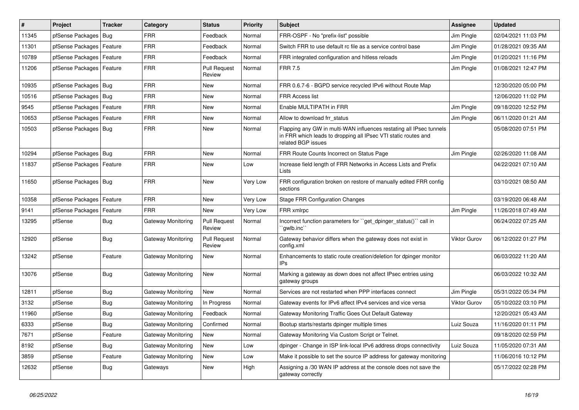| #     | Project                | <b>Tracker</b> | Category           | <b>Status</b>                 | <b>Priority</b> | <b>Subject</b>                                                                                                                                              | <b>Assignee</b>     | <b>Updated</b>      |
|-------|------------------------|----------------|--------------------|-------------------------------|-----------------|-------------------------------------------------------------------------------------------------------------------------------------------------------------|---------------------|---------------------|
| 11345 | pfSense Packages       | <b>Bug</b>     | <b>FRR</b>         | Feedback                      | Normal          | FRR-OSPF - No "prefix-list" possible                                                                                                                        | Jim Pingle          | 02/04/2021 11:03 PM |
| 11301 | pfSense Packages       | l Feature      | <b>FRR</b>         | Feedback                      | Normal          | Switch FRR to use default rc file as a service control base                                                                                                 | Jim Pingle          | 01/28/2021 09:35 AM |
| 10789 | pfSense Packages       | Feature        | <b>FRR</b>         | Feedback                      | Normal          | FRR integrated configuration and hitless reloads                                                                                                            | Jim Pingle          | 01/20/2021 11:16 PM |
| 11206 | pfSense Packages       | Feature        | FRR                | <b>Pull Request</b><br>Review | Normal          | <b>FRR 7.5</b>                                                                                                                                              | Jim Pingle          | 01/08/2021 12:47 PM |
| 10935 | pfSense Packages   Bug |                | <b>FRR</b>         | <b>New</b>                    | Normal          | FRR 0.6.7-6 - BGPD service recycled IPv6 without Route Map                                                                                                  |                     | 12/30/2020 05:00 PM |
| 10516 | pfSense Packages   Bug |                | <b>FRR</b>         | <b>New</b>                    | Normal          | <b>FRR Access list</b>                                                                                                                                      |                     | 12/06/2020 11:02 PM |
| 9545  | pfSense Packages       | Feature        | <b>FRR</b>         | New                           | Normal          | Enable MULTIPATH in FRR                                                                                                                                     | Jim Pingle          | 09/18/2020 12:52 PM |
| 10653 | pfSense Packages       | Feature        | <b>FRR</b>         | <b>New</b>                    | Normal          | Allow to download frr_status                                                                                                                                | Jim Pingle          | 06/11/2020 01:21 AM |
| 10503 | pfSense Packages   Bug |                | <b>FRR</b>         | New                           | Normal          | Flapping any GW in multi-WAN influences restating all IPsec tunnels<br>in FRR which leads to dropping all IPsec VTI static routes and<br>related BGP issues |                     | 05/08/2020 07:51 PM |
| 10294 | pfSense Packages   Bug |                | <b>FRR</b>         | <b>New</b>                    | Normal          | FRR Route Counts Incorrect on Status Page                                                                                                                   | Jim Pingle          | 02/26/2020 11:08 AM |
| 11837 | pfSense Packages       | Feature        | FRR                | <b>New</b>                    | Low             | Increase field length of FRR Networks in Access Lists and Prefix<br>Lists                                                                                   |                     | 04/22/2021 07:10 AM |
| 11650 | pfSense Packages   Bug |                | <b>FRR</b>         | New                           | Very Low        | FRR configuration broken on restore of manually edited FRR config<br>sections                                                                               |                     | 03/10/2021 08:50 AM |
| 10358 | pfSense Packages       | Feature        | <b>FRR</b>         | <b>New</b>                    | Very Low        | <b>Stage FRR Configuration Changes</b>                                                                                                                      |                     | 03/19/2020 06:48 AM |
| 9141  | pfSense Packages       | Feature        | <b>FRR</b>         | <b>New</b>                    | Very Low        | FRR xmlrpc                                                                                                                                                  | Jim Pingle          | 11/26/2018 07:49 AM |
| 13295 | pfSense                | <b>Bug</b>     | Gateway Monitoring | <b>Pull Request</b><br>Review | Normal          | Incorrect function parameters for "get_dpinger_status()" call in<br>`gwlb.inc``                                                                             |                     | 06/24/2022 07:25 AM |
| 12920 | pfSense                | <b>Bug</b>     | Gateway Monitoring | <b>Pull Request</b><br>Review | Normal          | Gateway behavior differs when the gateway does not exist in<br>config.xml                                                                                   | <b>Viktor Gurov</b> | 06/12/2022 01:27 PM |
| 13242 | pfSense                | Feature        | Gateway Monitoring | New                           | Normal          | Enhancements to static route creation/deletion for dpinger monitor<br>IPs                                                                                   |                     | 06/03/2022 11:20 AM |
| 13076 | pfSense                | Bug            | Gateway Monitoring | <b>New</b>                    | Normal          | Marking a gateway as down does not affect IPsec entries using<br>gateway groups                                                                             |                     | 06/03/2022 10:32 AM |
| 12811 | pfSense                | <b>Bug</b>     | Gateway Monitoring | <b>New</b>                    | Normal          | Services are not restarted when PPP interfaces connect                                                                                                      | Jim Pingle          | 05/31/2022 05:34 PM |
| 3132  | pfSense                | <b>Bug</b>     | Gateway Monitoring | In Progress                   | Normal          | Gateway events for IPv6 affect IPv4 services and vice versa                                                                                                 | <b>Viktor Gurov</b> | 05/10/2022 03:10 PM |
| 11960 | pfSense                | Bug            | Gateway Monitoring | Feedback                      | Normal          | Gateway Monitoring Traffic Goes Out Default Gateway                                                                                                         |                     | 12/20/2021 05:43 AM |
| 6333  | pfSense                | Bug            | Gateway Monitoring | Confirmed                     | Normal          | Bootup starts/restarts dpinger multiple times                                                                                                               | Luiz Souza          | 11/16/2020 01:11 PM |
| 7671  | pfSense                | Feature        | Gateway Monitoring | <b>New</b>                    | Normal          | Gateway Monitoring Via Custom Script or Telnet.                                                                                                             |                     | 09/18/2020 02:59 PM |
| 8192  | pfSense                | Bug            | Gateway Monitoring | <b>New</b>                    | Low             | dpinger - Change in ISP link-local IPv6 address drops connectivity                                                                                          | Luiz Souza          | 11/05/2020 07:31 AM |
| 3859  | pfSense                | Feature        | Gateway Monitoring | <b>New</b>                    | Low             | Make it possible to set the source IP address for gateway monitoring                                                                                        |                     | 11/06/2016 10:12 PM |
| 12632 | pfSense                | <b>Bug</b>     | Gateways           | <b>New</b>                    | High            | Assigning a /30 WAN IP address at the console does not save the<br>gateway correctly                                                                        |                     | 05/17/2022 02:28 PM |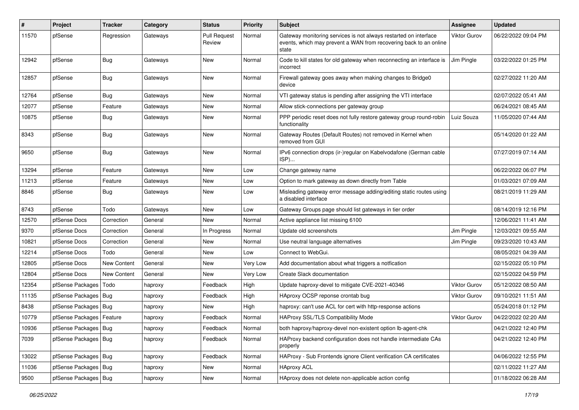| #     | Project                    | Tracker            | Category | <b>Status</b>                 | <b>Priority</b> | <b>Subject</b>                                                                                                                                 | Assignee            | <b>Updated</b>      |
|-------|----------------------------|--------------------|----------|-------------------------------|-----------------|------------------------------------------------------------------------------------------------------------------------------------------------|---------------------|---------------------|
| 11570 | pfSense                    | Regression         | Gateways | <b>Pull Request</b><br>Review | Normal          | Gateway monitoring services is not always restarted on interface<br>events, which may prevent a WAN from recovering back to an online<br>state | <b>Viktor Gurov</b> | 06/22/2022 09:04 PM |
| 12942 | pfSense                    | <b>Bug</b>         | Gateways | New                           | Normal          | Code to kill states for old gateway when reconnecting an interface is<br>incorrect                                                             | Jim Pingle          | 03/22/2022 01:25 PM |
| 12857 | pfSense                    | <b>Bug</b>         | Gateways | New                           | Normal          | Firewall gateway goes away when making changes to Bridge0<br>device                                                                            |                     | 02/27/2022 11:20 AM |
| 12764 | pfSense                    | Bug                | Gateways | New                           | Normal          | VTI gateway status is pending after assigning the VTI interface                                                                                |                     | 02/07/2022 05:41 AM |
| 12077 | pfSense                    | Feature            | Gateways | New                           | Normal          | Allow stick-connections per gateway group                                                                                                      |                     | 06/24/2021 08:45 AM |
| 10875 | pfSense                    | <b>Bug</b>         | Gateways | New                           | Normal          | PPP periodic reset does not fully restore gateway group round-robin<br>functionality                                                           | Luiz Souza          | 11/05/2020 07:44 AM |
| 8343  | pfSense                    | <b>Bug</b>         | Gateways | New                           | Normal          | Gateway Routes (Default Routes) not removed in Kernel when<br>removed from GUI                                                                 |                     | 05/14/2020 01:22 AM |
| 9650  | pfSense                    | Bug                | Gateways | New                           | Normal          | IPv6 connection drops (ir-)regular on Kabelvodafone (German cable<br>ISP)                                                                      |                     | 07/27/2019 07:14 AM |
| 13294 | pfSense                    | Feature            | Gateways | <b>New</b>                    | Low             | Change gateway name                                                                                                                            |                     | 06/22/2022 06:07 PM |
| 11213 | pfSense                    | Feature            | Gateways | New                           | Low             | Option to mark gateway as down directly from Table                                                                                             |                     | 01/03/2021 07:09 AM |
| 8846  | pfSense                    | <b>Bug</b>         | Gateways | New                           | Low             | Misleading gateway error message adding/editing static routes using<br>a disabled interface                                                    |                     | 08/21/2019 11:29 AM |
| 8743  | pfSense                    | Todo               | Gateways | New                           | Low             | Gateway Groups page should list gateways in tier order                                                                                         |                     | 08/14/2019 12:16 PM |
| 12570 | pfSense Docs               | Correction         | General  | New                           | Normal          | Active appliance list missing 6100                                                                                                             |                     | 12/06/2021 11:41 AM |
| 9370  | pfSense Docs               | Correction         | General  | In Progress                   | Normal          | Update old screenshots                                                                                                                         | Jim Pingle          | 12/03/2021 09:55 AM |
| 10821 | pfSense Docs               | Correction         | General  | New                           | Normal          | Use neutral language alternatives                                                                                                              | Jim Pingle          | 09/23/2020 10:43 AM |
| 12214 | pfSense Docs               | Todo               | General  | New                           | Low             | Connect to WebGui.                                                                                                                             |                     | 08/05/2021 04:39 AM |
| 12805 | pfSense Docs               | <b>New Content</b> | General  | New                           | Very Low        | Add documentation about what triggers a notfication                                                                                            |                     | 02/15/2022 05:10 PM |
| 12804 | pfSense Docs               | <b>New Content</b> | General  | New                           | Very Low        | Create Slack documentation                                                                                                                     |                     | 02/15/2022 04:59 PM |
| 12354 | pfSense Packages           | Todo               | haproxy  | Feedback                      | High            | Update haproxy-devel to mitigate CVE-2021-40346                                                                                                | <b>Viktor Gurov</b> | 05/12/2022 08:50 AM |
| 11135 | pfSense Packages   Bug     |                    | haproxy  | Feedback                      | High            | HAproxy OCSP reponse crontab bug                                                                                                               | Viktor Gurov        | 09/10/2021 11:51 AM |
| 8438  | pfSense Packages   Bug     |                    | haproxy  | New                           | High            | haproxy: can't use ACL for cert with http-response actions                                                                                     |                     | 05/24/2018 01:12 PM |
| 10779 | pfSense Packages   Feature |                    | haproxy  | Feedback                      | Normal          | HAProxy SSL/TLS Compatibility Mode                                                                                                             | <b>Viktor Gurov</b> | 04/22/2022 02:20 AM |
| 10936 | pfSense Packages   Bug     |                    | haproxy  | Feedback                      | Normal          | both haproxy/haproxy-devel non-existent option lb-agent-chk                                                                                    |                     | 04/21/2022 12:40 PM |
| 7039  | pfSense Packages   Bug     |                    | haproxy  | Feedback                      | Normal          | HAProxy backend configuration does not handle intermediate CAs<br>properly                                                                     |                     | 04/21/2022 12:40 PM |
| 13022 | pfSense Packages   Bug     |                    | haproxy  | Feedback                      | Normal          | HAProxy - Sub Frontends ignore Client verification CA certificates                                                                             |                     | 04/06/2022 12:55 PM |
| 11036 | pfSense Packages   Bug     |                    | haproxy  | New                           | Normal          | <b>HAproxy ACL</b>                                                                                                                             |                     | 02/11/2022 11:27 AM |
| 9500  | pfSense Packages   Bug     |                    | haproxy  | New                           | Normal          | HAproxy does not delete non-applicable action config                                                                                           |                     | 01/18/2022 06:28 AM |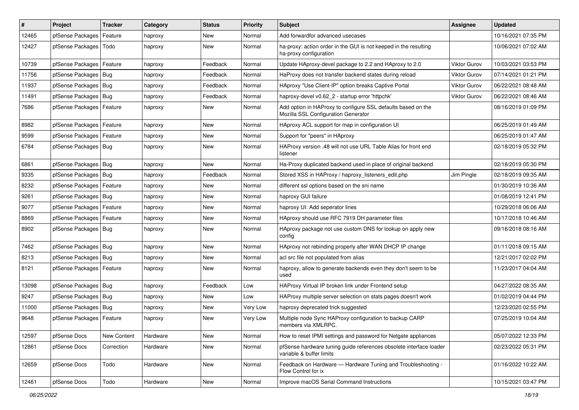| #     | Project                    | <b>Tracker</b> | Category | <b>Status</b> | <b>Priority</b> | <b>Subject</b>                                                                                      | <b>Assignee</b>     | <b>Updated</b>      |
|-------|----------------------------|----------------|----------|---------------|-----------------|-----------------------------------------------------------------------------------------------------|---------------------|---------------------|
| 12465 | pfSense Packages           | Feature        | haproxy  | New           | Normal          | Add forwardfor advanced usecases                                                                    |                     | 10/16/2021 07:35 PM |
| 12427 | pfSense Packages           | Todo           | haproxy  | <b>New</b>    | Normal          | ha-proxy: action order in the GUI is not keeped in the resulting<br>ha-proxy configuration          |                     | 10/06/2021 07:02 AM |
| 10739 | pfSense Packages   Feature |                | haproxy  | Feedback      | Normal          | Update HAproxy-devel package to 2.2 and HAproxy to 2.0                                              | <b>Viktor Gurov</b> | 10/03/2021 03:53 PM |
| 11756 | pfSense Packages   Bug     |                | haproxy  | Feedback      | Normal          | HaProxy does not transfer backend states during reload                                              | <b>Viktor Gurov</b> | 07/14/2021 01:21 PM |
| 11937 | pfSense Packages   Bug     |                | haproxy  | Feedback      | Normal          | HAproxy "Use Client-IP" option breaks Captive Portal                                                | <b>Viktor Gurov</b> | 06/22/2021 08:48 AM |
| 11491 | pfSense Packages   Bug     |                | haproxy  | Feedback      | Normal          | haproxy-devel v0.62 2 - startup error 'httpchk'                                                     | <b>Viktor Gurov</b> | 06/22/2021 08:46 AM |
| 7686  | pfSense Packages           | Feature        | haproxy  | New           | Normal          | Add option in HAProxy to configure SSL defaults based on the<br>Mozilla SSL Configuration Generator |                     | 08/16/2019 01:09 PM |
| 8982  | pfSense Packages           | Feature        | haproxy  | <b>New</b>    | Normal          | HAproxy ACL support for map in configuration UI                                                     |                     | 06/25/2019 01:49 AM |
| 9599  | pfSense Packages   Feature |                | haproxy  | New           | Normal          | Support for "peers" in HAproxy                                                                      |                     | 06/25/2019 01:47 AM |
| 6784  | pfSense Packages   Bug     |                | haproxy  | New           | Normal          | HAProxy version .48 will not use URL Table Alias for front end<br>listener                          |                     | 02/18/2019 05:32 PM |
| 6861  | pfSense Packages   Bug     |                | haproxy  | <b>New</b>    | Normal          | Ha-Proxy duplicated backend used in place of original backend                                       |                     | 02/18/2019 05:30 PM |
| 9335  | pfSense Packages   Bug     |                | haproxy  | Feedback      | Normal          | Stored XSS in HAProxy / haproxy_listeners_edit.php                                                  | Jim Pingle          | 02/18/2019 09:35 AM |
| 8232  | pfSense Packages           | Feature        | haproxy  | New           | Normal          | different ssl options based on the sni name                                                         |                     | 01/30/2019 10:36 AM |
| 9261  | pfSense Packages   Bug     |                | haproxy  | <b>New</b>    | Normal          | haproxy GUI failure                                                                                 |                     | 01/08/2019 12:41 PM |
| 9077  | pfSense Packages           | Feature        | haproxy  | New           | Normal          | haproxy UI: Add seperator lines                                                                     |                     | 10/29/2018 06:06 AM |
| 8869  | pfSense Packages           | Feature        | haproxy  | New           | Normal          | HAproxy should use RFC 7919 DH parameter files                                                      |                     | 10/17/2018 10:46 AM |
| 8902  | pfSense Packages   Bug     |                | haproxy  | New           | Normal          | HAproxy package not use custom DNS for lookup on apply new<br>config                                |                     | 09/16/2018 08:16 AM |
| 7462  | pfSense Packages   Bug     |                | haproxy  | New           | Normal          | HAproxy not rebinding properly after WAN DHCP IP change                                             |                     | 01/11/2018 09:15 AM |
| 8213  | pfSense Packages   Bug     |                | haproxy  | <b>New</b>    | Normal          | acl src file not populated from alias                                                               |                     | 12/21/2017 02:02 PM |
| 8121  | pfSense Packages           | Feature        | haproxy  | New           | Normal          | haproxy, allow to generate backends even they don't seem to be<br>used                              |                     | 11/23/2017 04:04 AM |
| 13098 | pfSense Packages   Bug     |                | haproxy  | Feedback      | Low             | HAProxy Virtual IP broken link under Frontend setup                                                 |                     | 04/27/2022 08:35 AM |
| 9247  | pfSense Packages   Bug     |                | haproxy  | New           | Low             | HAProxy multiple server selection on stats pages doesn't work                                       |                     | 01/02/2019 04:44 PM |
| 11000 | pfSense Packages   Bug     |                | haproxy  | New           | Very Low        | haproxy deprecated trick suggested                                                                  |                     | 12/23/2020 02:55 PM |
| 9648  | pfSense Packages   Feature |                | haproxy  | <b>New</b>    | Very Low        | Multiple node Sync HAProxy configuration to backup CARP<br>members via XMLRPC.                      |                     | 07/25/2019 10:04 AM |
| 12597 | pfSense Docs               | New Content    | Hardware | New           | Normal          | How to reset IPMI settings and password for Netgate appliances                                      |                     | 05/07/2022 12:33 PM |
| 12861 | pfSense Docs               | Correction     | Hardware | New           | Normal          | pfSense hardware tuning guide references obsolete interface loader<br>variable & buffer limits      |                     | 02/23/2022 05:31 PM |
| 12659 | pfSense Docs               | Todo           | Hardware | New           | Normal          | Feedback on Hardware - Hardware Tuning and Troubleshooting -<br>Flow Control for ix                 |                     | 01/16/2022 10:22 AM |
| 12461 | pfSense Docs               | Todo           | Hardware | New           | Normal          | Improve macOS Serial Command Instructions                                                           |                     | 10/15/2021 03:47 PM |